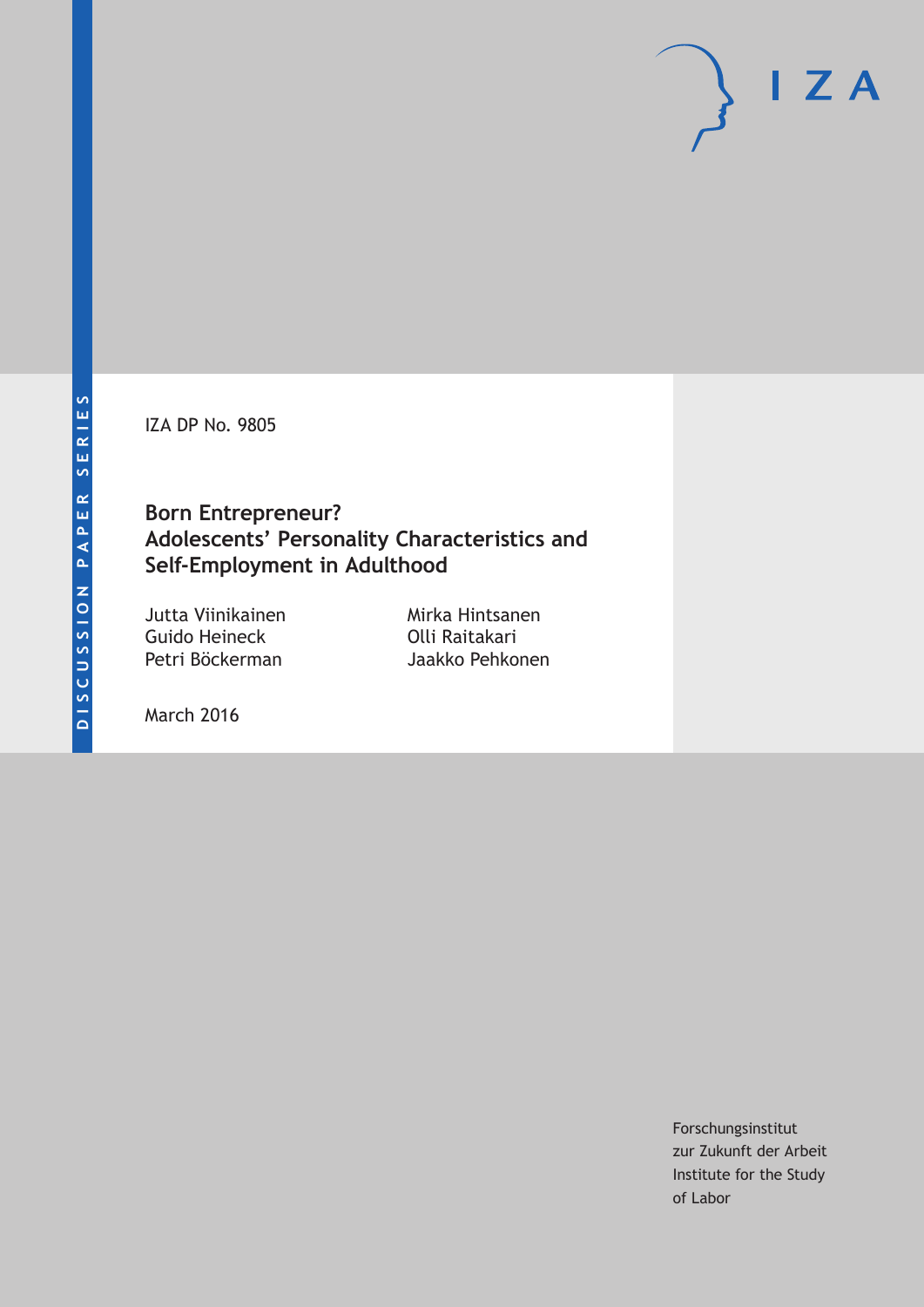IZA DP No. 9805

# **Born Entrepreneur? Adolescents' Personality Characteristics and Self-Employment in Adulthood**

Jutta Viinikainen Guido Heineck Petri Böckerman

Mirka Hintsanen Olli Raitakari Jaakko Pehkonen

March 2016

Forschungsinstitut zur Zukunft der Arbeit Institute for the Study of Labor

 $I Z A$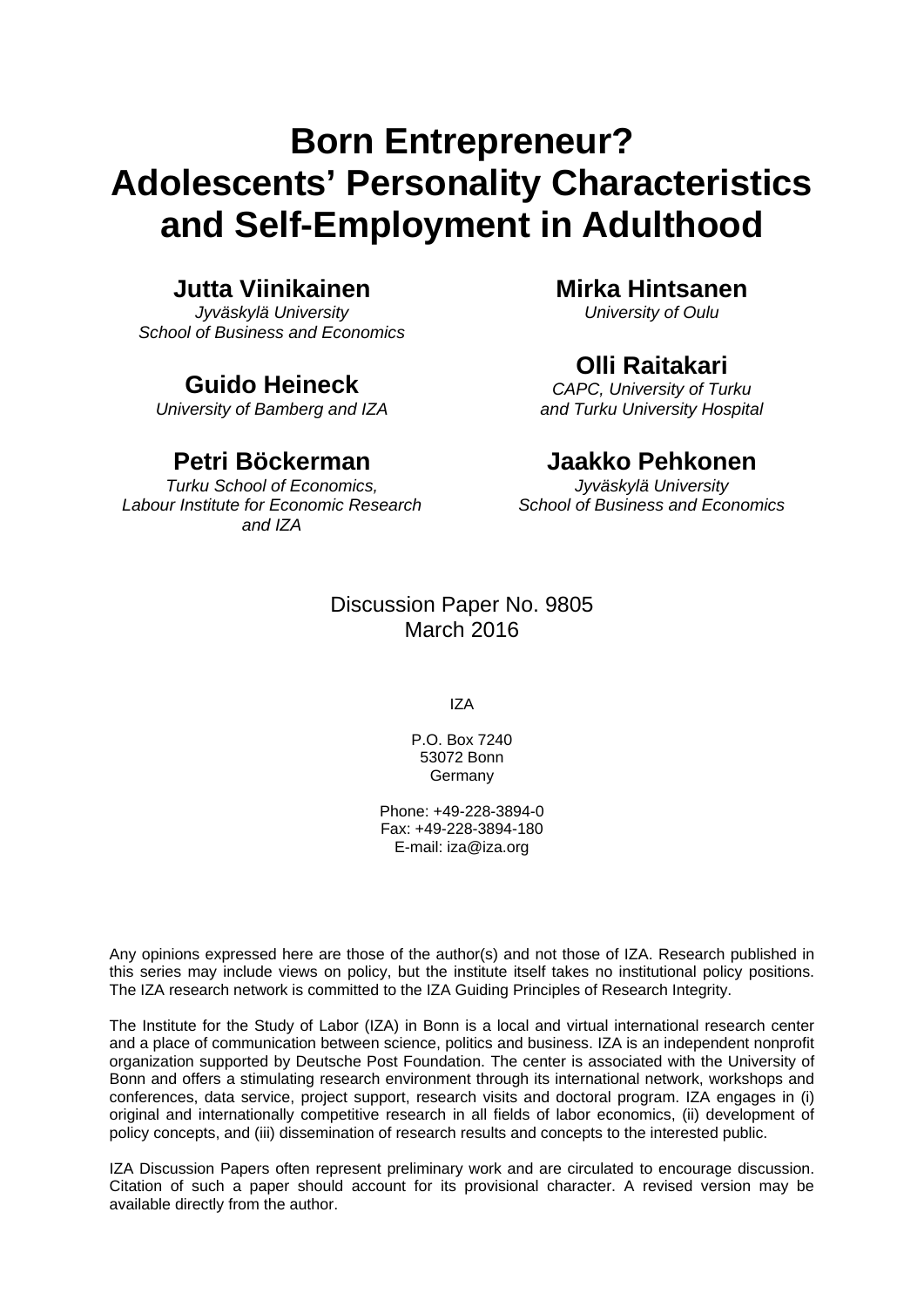# **Born Entrepreneur? Adolescents' Personality Characteristics and Self-Employment in Adulthood**

### **Jutta Viinikainen**

*Jyväskylä University School of Business and Economics* 

## **Guido Heineck**

*University of Bamberg and IZA* 

# **Petri Böckerman**

*Turku School of Economics, Labour Institute for Economic Research and IZA* 

### **Mirka Hintsanen**

*University of Oulu* 

# **Olli Raitakari**

*CAPC, University of Turku and Turku University Hospital* 

### **Jaakko Pehkonen**

*Jyväskylä University School of Business and Economics*

### Discussion Paper No. 9805 March 2016

IZA

P.O. Box 7240 53072 Bonn **Germany** 

Phone: +49-228-3894-0 Fax: +49-228-3894-180 E-mail: iza@iza.org

Any opinions expressed here are those of the author(s) and not those of IZA. Research published in this series may include views on policy, but the institute itself takes no institutional policy positions. The IZA research network is committed to the IZA Guiding Principles of Research Integrity.

The Institute for the Study of Labor (IZA) in Bonn is a local and virtual international research center and a place of communication between science, politics and business. IZA is an independent nonprofit organization supported by Deutsche Post Foundation. The center is associated with the University of Bonn and offers a stimulating research environment through its international network, workshops and conferences, data service, project support, research visits and doctoral program. IZA engages in (i) original and internationally competitive research in all fields of labor economics, (ii) development of policy concepts, and (iii) dissemination of research results and concepts to the interested public.

IZA Discussion Papers often represent preliminary work and are circulated to encourage discussion. Citation of such a paper should account for its provisional character. A revised version may be available directly from the author.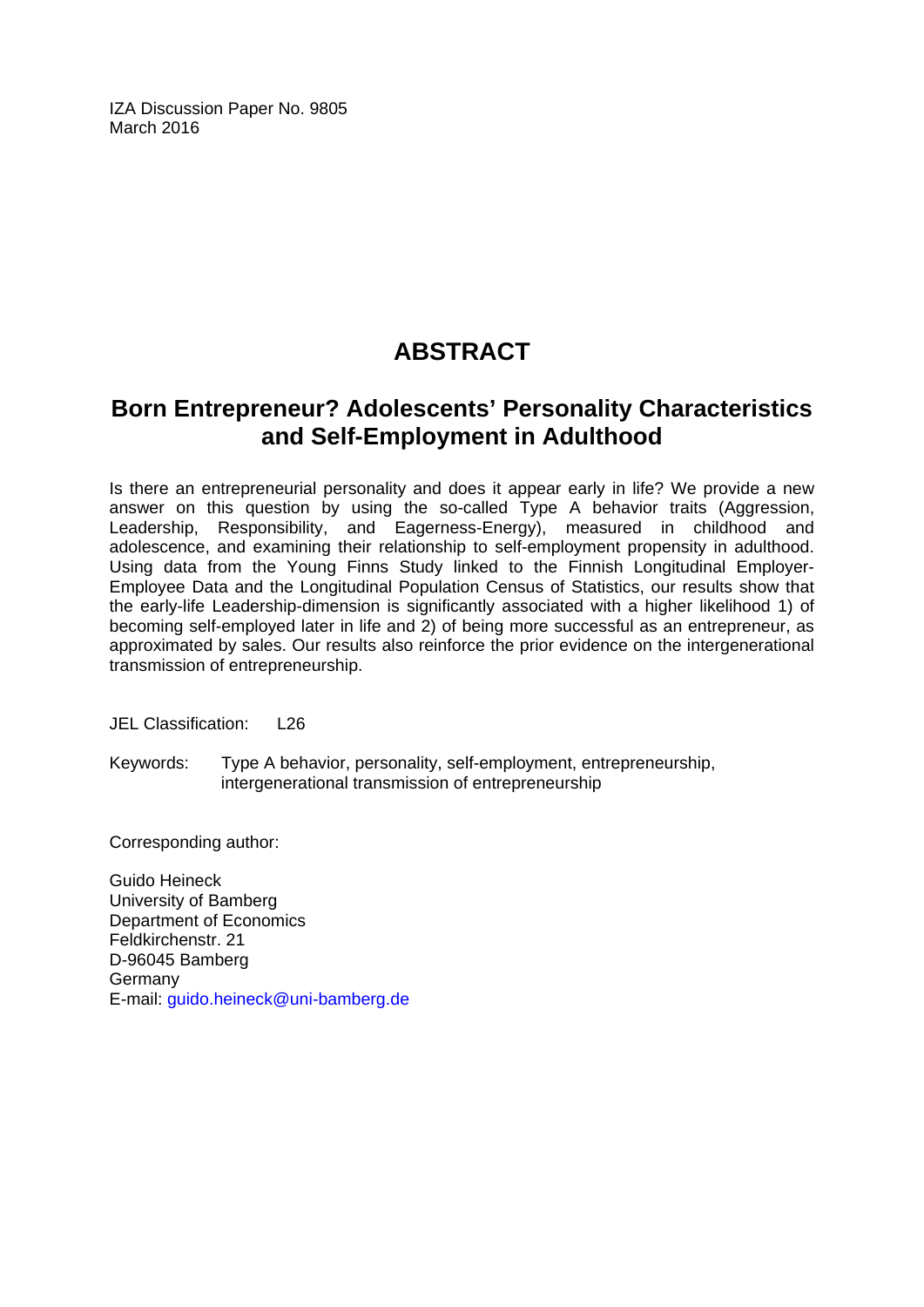IZA Discussion Paper No. 9805 March 2016

# **ABSTRACT**

# **Born Entrepreneur? Adolescents' Personality Characteristics and Self-Employment in Adulthood**

Is there an entrepreneurial personality and does it appear early in life? We provide a new answer on this question by using the so-called Type A behavior traits (Aggression, Leadership, Responsibility, and Eagerness-Energy), measured in childhood and adolescence, and examining their relationship to self-employment propensity in adulthood. Using data from the Young Finns Study linked to the Finnish Longitudinal Employer-Employee Data and the Longitudinal Population Census of Statistics, our results show that the early-life Leadership-dimension is significantly associated with a higher likelihood 1) of becoming self-employed later in life and 2) of being more successful as an entrepreneur, as approximated by sales. Our results also reinforce the prior evidence on the intergenerational transmission of entrepreneurship.

JEL Classification: L26

Keywords: Type A behavior, personality, self-employment, entrepreneurship, intergenerational transmission of entrepreneurship

Corresponding author:

Guido Heineck University of Bamberg Department of Economics Feldkirchenstr. 21 D-96045 Bamberg Germany E-mail: guido.heineck@uni-bamberg.de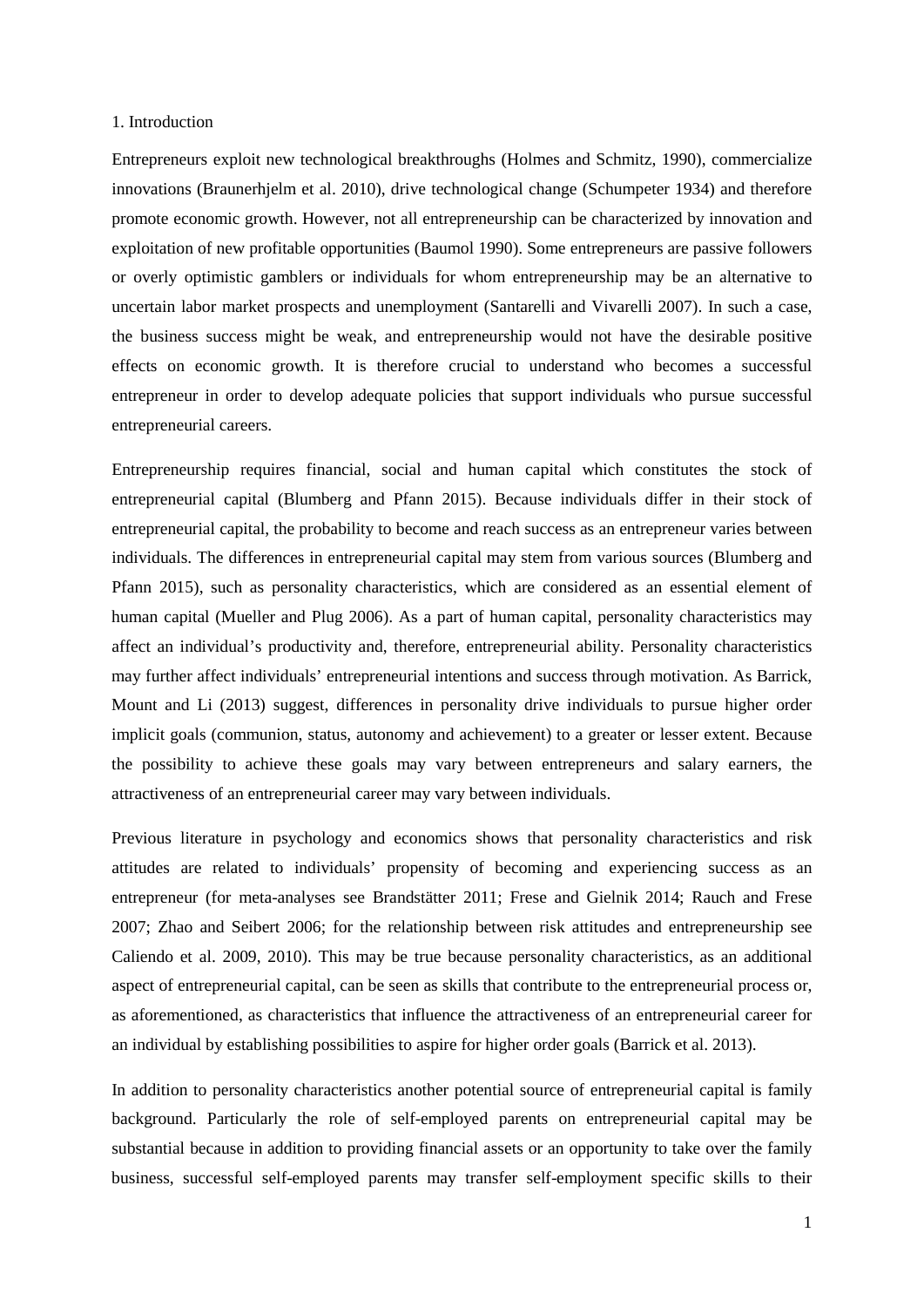#### 1. Introduction

Entrepreneurs exploit new technological breakthroughs (Holmes and Schmitz, 1990), commercialize innovations (Braunerhjelm et al. 2010), drive technological change (Schumpeter 1934) and therefore promote economic growth. However, not all entrepreneurship can be characterized by innovation and exploitation of new profitable opportunities (Baumol 1990). Some entrepreneurs are passive followers or overly optimistic gamblers or individuals for whom entrepreneurship may be an alternative to uncertain labor market prospects and unemployment (Santarelli and Vivarelli 2007). In such a case, the business success might be weak, and entrepreneurship would not have the desirable positive effects on economic growth. It is therefore crucial to understand who becomes a successful entrepreneur in order to develop adequate policies that support individuals who pursue successful entrepreneurial careers.

Entrepreneurship requires financial, social and human capital which constitutes the stock of entrepreneurial capital (Blumberg and Pfann 2015). Because individuals differ in their stock of entrepreneurial capital, the probability to become and reach success as an entrepreneur varies between individuals. The differences in entrepreneurial capital may stem from various sources (Blumberg and Pfann 2015), such as personality characteristics, which are considered as an essential element of human capital (Mueller and Plug 2006). As a part of human capital, personality characteristics may affect an individual's productivity and, therefore, entrepreneurial ability. Personality characteristics may further affect individuals' entrepreneurial intentions and success through motivation. As Barrick, Mount and Li (2013) suggest, differences in personality drive individuals to pursue higher order implicit goals (communion, status, autonomy and achievement) to a greater or lesser extent. Because the possibility to achieve these goals may vary between entrepreneurs and salary earners, the attractiveness of an entrepreneurial career may vary between individuals.

Previous literature in psychology and economics shows that personality characteristics and risk attitudes are related to individuals' propensity of becoming and experiencing success as an entrepreneur (for meta-analyses see Brandstätter 2011; Frese and Gielnik 2014; Rauch and Frese 2007; Zhao and Seibert 2006; for the relationship between risk attitudes and entrepreneurship see Caliendo et al. 2009, 2010). This may be true because personality characteristics, as an additional aspect of entrepreneurial capital, can be seen as skills that contribute to the entrepreneurial process or, as aforementioned, as characteristics that influence the attractiveness of an entrepreneurial career for an individual by establishing possibilities to aspire for higher order goals (Barrick et al. 2013).

In addition to personality characteristics another potential source of entrepreneurial capital is family background. Particularly the role of self-employed parents on entrepreneurial capital may be substantial because in addition to providing financial assets or an opportunity to take over the family business, successful self-employed parents may transfer self-employment specific skills to their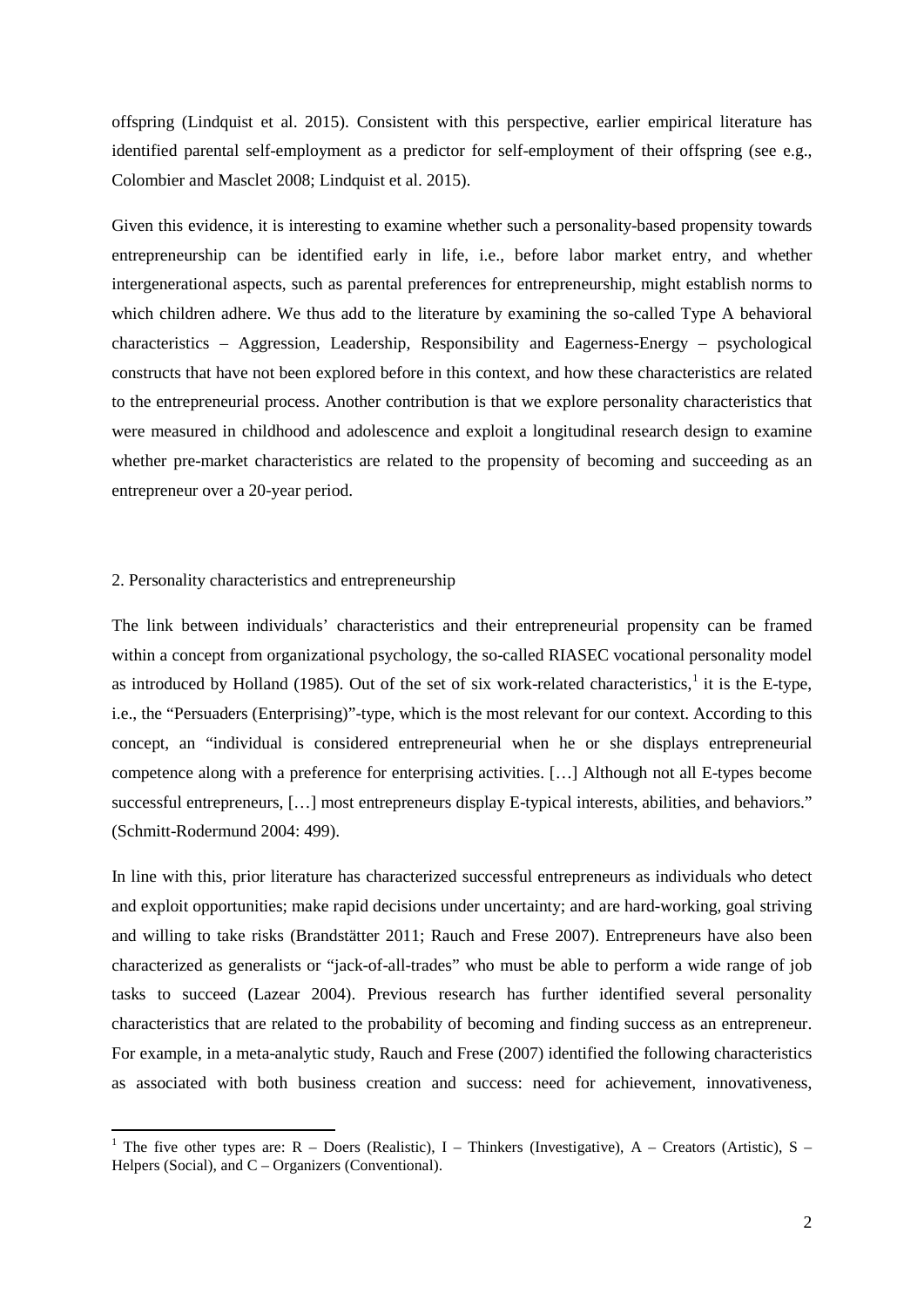offspring (Lindquist et al. 2015). Consistent with this perspective, earlier empirical literature has identified parental self-employment as a predictor for self-employment of their offspring (see e.g., Colombier and Masclet 2008; Lindquist et al. 2015).

Given this evidence, it is interesting to examine whether such a personality-based propensity towards entrepreneurship can be identified early in life, i.e., before labor market entry, and whether intergenerational aspects, such as parental preferences for entrepreneurship, might establish norms to which children adhere. We thus add to the literature by examining the so-called Type A behavioral characteristics – Aggression, Leadership, Responsibility and Eagerness-Energy – psychological constructs that have not been explored before in this context, and how these characteristics are related to the entrepreneurial process. Another contribution is that we explore personality characteristics that were measured in childhood and adolescence and exploit a longitudinal research design to examine whether pre-market characteristics are related to the propensity of becoming and succeeding as an entrepreneur over a 20-year period.

#### 2. Personality characteristics and entrepreneurship

The link between individuals' characteristics and their entrepreneurial propensity can be framed within a concept from organizational psychology, the so-called RIASEC vocational personality model as introduced by Holland ([1](#page-4-0)985). Out of the set of six work-related characteristics,<sup>1</sup> it is the E-type, i.e., the "Persuaders (Enterprising)"-type, which is the most relevant for our context. According to this concept, an "individual is considered entrepreneurial when he or she displays entrepreneurial competence along with a preference for enterprising activities. […] Although not all E-types become successful entrepreneurs, [...] most entrepreneurs display E-typical interests, abilities, and behaviors." (Schmitt-Rodermund 2004: 499).

In line with this, prior literature has characterized successful entrepreneurs as individuals who detect and exploit opportunities; make rapid decisions under uncertainty; and are hard-working, goal striving and willing to take risks (Brandstätter 2011; Rauch and Frese 2007). Entrepreneurs have also been characterized as generalists or "jack-of-all-trades" who must be able to perform a wide range of job tasks to succeed (Lazear 2004). Previous research has further identified several personality characteristics that are related to the probability of becoming and finding success as an entrepreneur. For example, in a meta-analytic study, Rauch and Frese (2007) identified the following characteristics as associated with both business creation and success: need for achievement, innovativeness,

<span id="page-4-0"></span><sup>&</sup>lt;sup>1</sup> The five other types are: R – Doers (Realistic), I – Thinkers (Investigative), A – Creators (Artistic), S – Helpers (Social), and  $C -$ Organizers (Conventional).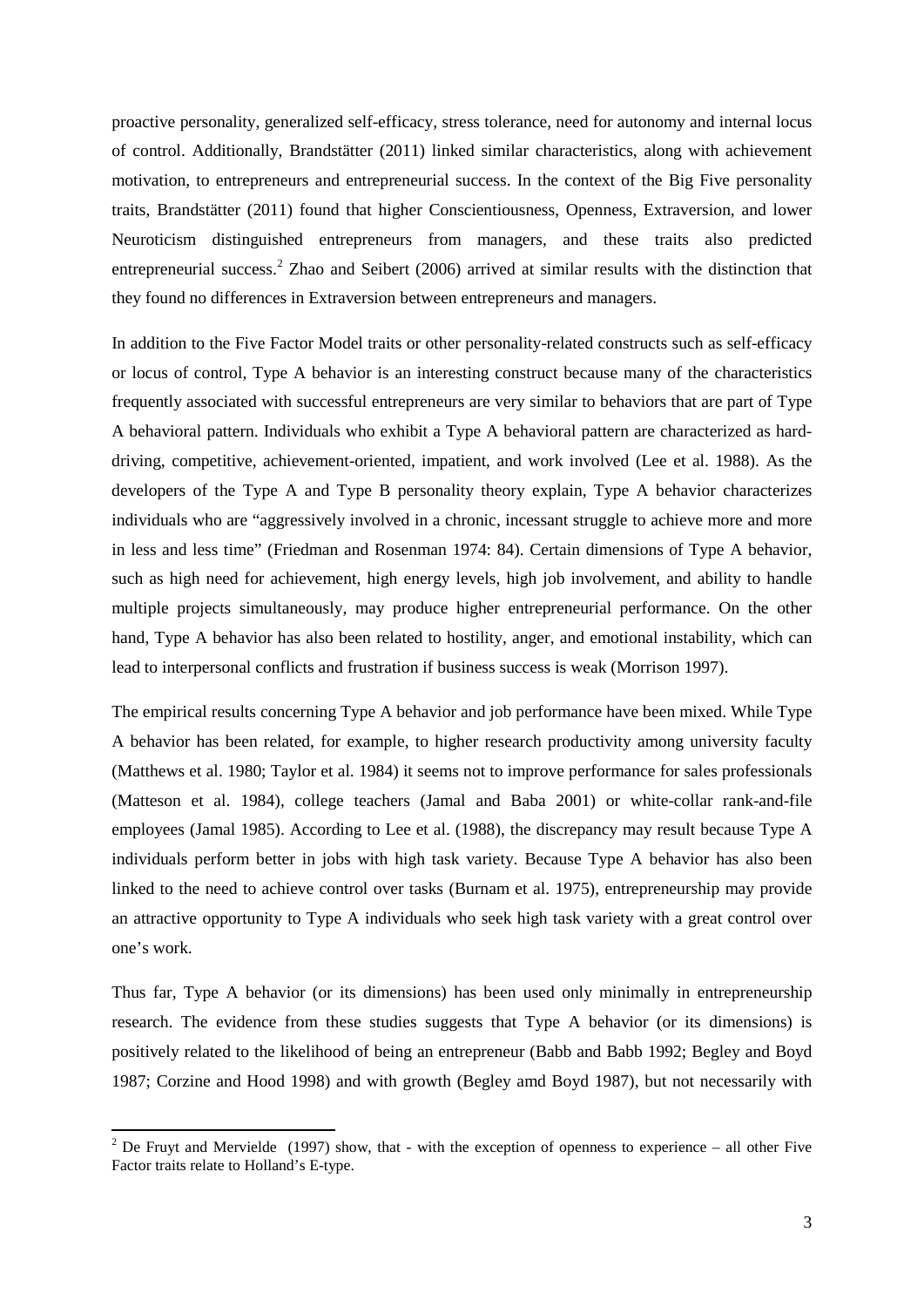proactive personality, generalized self-efficacy, stress tolerance, need for autonomy and internal locus of control. Additionally, Brandstätter (2011) linked similar characteristics, along with achievement motivation, to entrepreneurs and entrepreneurial success. In the context of the Big Five personality traits, Brandstätter (2011) found that higher Conscientiousness, Openness, Extraversion, and lower Neuroticism distinguished entrepreneurs from managers, and these traits also predicted entrepreneurial success.<sup>[2](#page-5-0)</sup> Zhao and Seibert (2006) arrived at similar results with the distinction that they found no differences in Extraversion between entrepreneurs and managers.

In addition to the Five Factor Model traits or other personality-related constructs such as self-efficacy or locus of control, Type A behavior is an interesting construct because many of the characteristics frequently associated with successful entrepreneurs are very similar to behaviors that are part of Type A behavioral pattern. Individuals who exhibit a Type A behavioral pattern are characterized as harddriving, competitive, achievement-oriented, impatient, and work involved (Lee et al. 1988). As the developers of the Type A and Type B personality theory explain, Type A behavior characterizes individuals who are "aggressively involved in a chronic, incessant struggle to achieve more and more in less and less time" (Friedman and Rosenman 1974: 84). Certain dimensions of Type A behavior, such as high need for achievement, high energy levels, high job involvement, and ability to handle multiple projects simultaneously, may produce higher entrepreneurial performance. On the other hand, Type A behavior has also been related to hostility, anger, and emotional instability, which can lead to interpersonal conflicts and frustration if business success is weak (Morrison 1997).

The empirical results concerning Type A behavior and job performance have been mixed. While Type A behavior has been related, for example, to higher research productivity among university faculty (Matthews et al. 1980; Taylor et al. 1984) it seems not to improve performance for sales professionals (Matteson et al. 1984), college teachers (Jamal and Baba 2001) or white-collar rank-and-file employees (Jamal 1985). According to Lee et al. (1988), the discrepancy may result because Type A individuals perform better in jobs with high task variety. Because Type A behavior has also been linked to the need to achieve control over tasks (Burnam et al. 1975), entrepreneurship may provide an attractive opportunity to Type A individuals who seek high task variety with a great control over one's work.

Thus far, Type A behavior (or its dimensions) has been used only minimally in entrepreneurship research. The evidence from these studies suggests that Type A behavior (or its dimensions) is positively related to the likelihood of being an entrepreneur (Babb and Babb 1992; Begley and Boyd 1987; Corzine and Hood 1998) and with growth (Begley amd Boyd 1987), but not necessarily with

<span id="page-5-0"></span><sup>&</sup>lt;sup>2</sup> De Fruyt and Mervielde (1997) show, that - with the exception of openness to experience – all other Five Factor traits relate to Holland's E-type.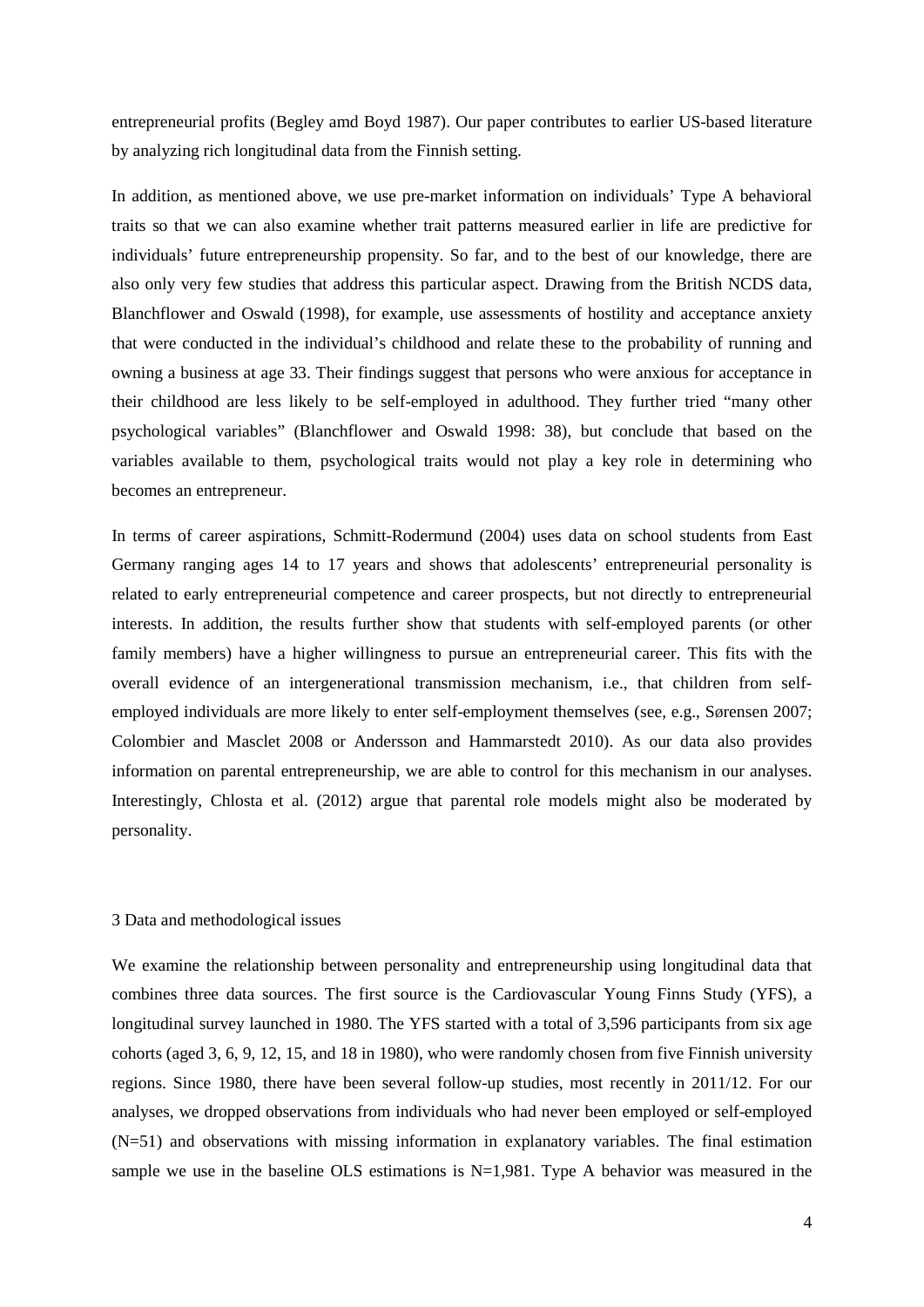entrepreneurial profits (Begley amd Boyd 1987). Our paper contributes to earlier US-based literature by analyzing rich longitudinal data from the Finnish setting.

In addition, as mentioned above, we use pre-market information on individuals' Type A behavioral traits so that we can also examine whether trait patterns measured earlier in life are predictive for individuals' future entrepreneurship propensity. So far, and to the best of our knowledge, there are also only very few studies that address this particular aspect. Drawing from the British NCDS data, Blanchflower and Oswald (1998), for example, use assessments of hostility and acceptance anxiety that were conducted in the individual's childhood and relate these to the probability of running and owning a business at age 33. Their findings suggest that persons who were anxious for acceptance in their childhood are less likely to be self-employed in adulthood. They further tried "many other psychological variables" (Blanchflower and Oswald 1998: 38), but conclude that based on the variables available to them, psychological traits would not play a key role in determining who becomes an entrepreneur.

In terms of career aspirations, Schmitt-Rodermund (2004) uses data on school students from East Germany ranging ages 14 to 17 years and shows that adolescents' entrepreneurial personality is related to early entrepreneurial competence and career prospects, but not directly to entrepreneurial interests. In addition, the results further show that students with self-employed parents (or other family members) have a higher willingness to pursue an entrepreneurial career. This fits with the overall evidence of an intergenerational transmission mechanism, i.e., that children from selfemployed individuals are more likely to enter self-employment themselves (see, e.g., Sørensen 2007; Colombier and Masclet 2008 or Andersson and Hammarstedt 2010). As our data also provides information on parental entrepreneurship, we are able to control for this mechanism in our analyses. Interestingly, Chlosta et al. (2012) argue that parental role models might also be moderated by personality.

#### 3 Data and methodological issues

We examine the relationship between personality and entrepreneurship using longitudinal data that combines three data sources. The first source is the Cardiovascular Young Finns Study (YFS), a longitudinal survey launched in 1980. The YFS started with a total of 3,596 participants from six age cohorts (aged 3, 6, 9, 12, 15, and 18 in 1980), who were randomly chosen from five Finnish university regions. Since 1980, there have been several follow-up studies, most recently in 2011/12. For our analyses, we dropped observations from individuals who had never been employed or self-employed (N=51) and observations with missing information in explanatory variables. The final estimation sample we use in the baseline OLS estimations is  $N=1,981$ . Type A behavior was measured in the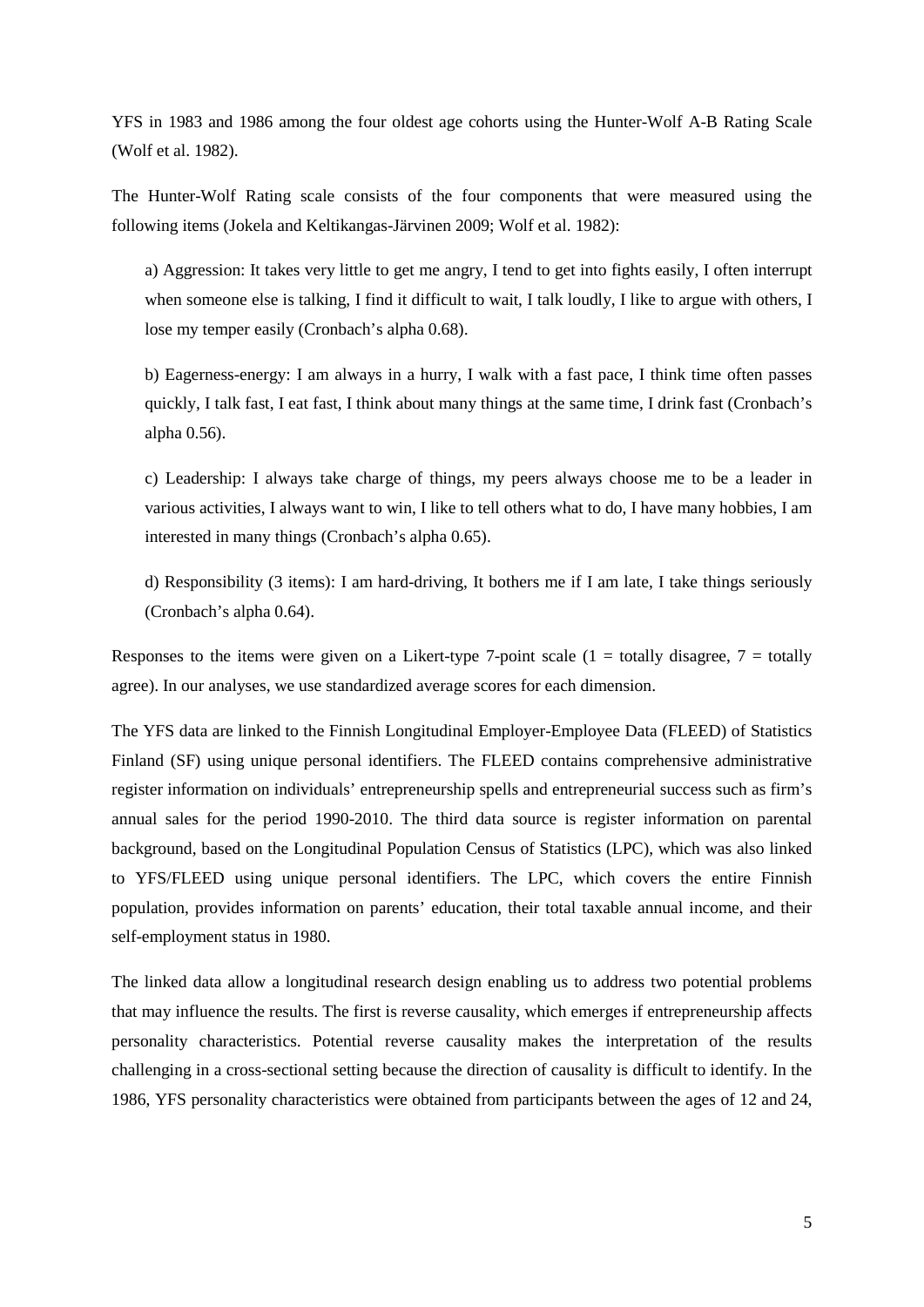YFS in 1983 and 1986 among the four oldest age cohorts using the Hunter-Wolf A-B Rating Scale (Wolf et al. 1982).

The Hunter-Wolf Rating scale consists of the four components that were measured using the following items (Jokela and Keltikangas-Järvinen 2009; Wolf et al. 1982):

a) Aggression: It takes very little to get me angry, I tend to get into fights easily, I often interrupt when someone else is talking, I find it difficult to wait, I talk loudly, I like to argue with others, I lose my temper easily (Cronbach's alpha 0.68).

b) Eagerness-energy: I am always in a hurry, I walk with a fast pace, I think time often passes quickly, I talk fast, I eat fast, I think about many things at the same time, I drink fast (Cronbach's alpha 0.56).

c) Leadership: I always take charge of things, my peers always choose me to be a leader in various activities, I always want to win, I like to tell others what to do, I have many hobbies, I am interested in many things (Cronbach's alpha 0.65).

d) Responsibility (3 items): I am hard-driving, It bothers me if I am late, I take things seriously (Cronbach's alpha 0.64).

Responses to the items were given on a Likert-type 7-point scale (1 = totally disagree,  $7 =$  totally agree). In our analyses, we use standardized average scores for each dimension.

The YFS data are linked to the Finnish Longitudinal Employer-Employee Data (FLEED) of Statistics Finland (SF) using unique personal identifiers. The FLEED contains comprehensive administrative register information on individuals' entrepreneurship spells and entrepreneurial success such as firm's annual sales for the period 1990-2010. The third data source is register information on parental background, based on the Longitudinal Population Census of Statistics (LPC), which was also linked to YFS/FLEED using unique personal identifiers. The LPC, which covers the entire Finnish population, provides information on parents' education, their total taxable annual income, and their self-employment status in 1980.

The linked data allow a longitudinal research design enabling us to address two potential problems that may influence the results. The first is reverse causality, which emerges if entrepreneurship affects personality characteristics. Potential reverse causality makes the interpretation of the results challenging in a cross-sectional setting because the direction of causality is difficult to identify. In the 1986, YFS personality characteristics were obtained from participants between the ages of 12 and 24,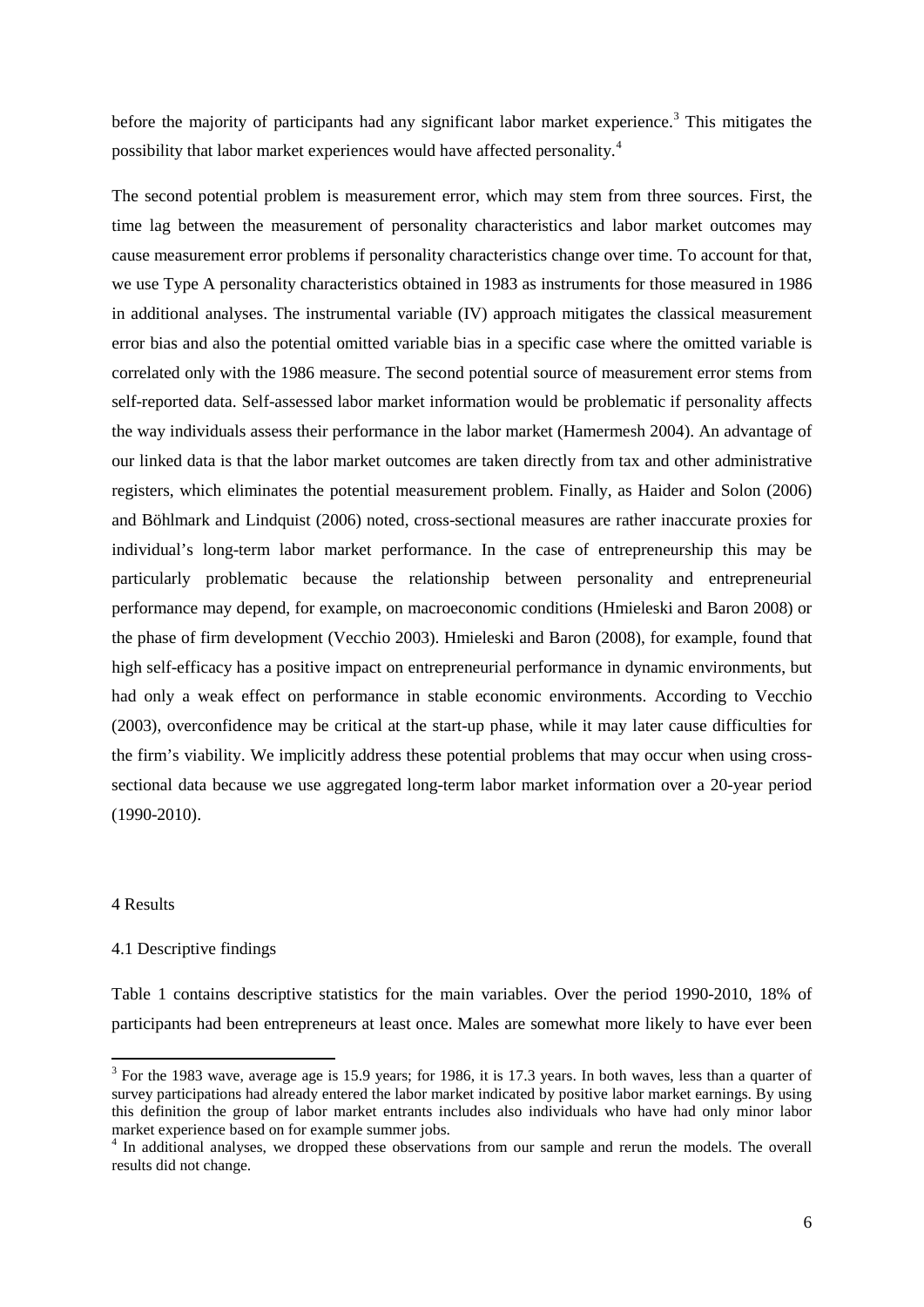before the majority of participants had any significant labor market experience.<sup>[3](#page-8-0)</sup> This mitigates the possibility that labor market experiences would have affected personality.[4](#page-8-1)

The second potential problem is measurement error, which may stem from three sources. First, the time lag between the measurement of personality characteristics and labor market outcomes may cause measurement error problems if personality characteristics change over time. To account for that, we use Type A personality characteristics obtained in 1983 as instruments for those measured in 1986 in additional analyses. The instrumental variable (IV) approach mitigates the classical measurement error bias and also the potential omitted variable bias in a specific case where the omitted variable is correlated only with the 1986 measure. The second potential source of measurement error stems from self-reported data. Self-assessed labor market information would be problematic if personality affects the way individuals assess their performance in the labor market (Hamermesh 2004). An advantage of our linked data is that the labor market outcomes are taken directly from tax and other administrative registers, which eliminates the potential measurement problem. Finally, as Haider and Solon (2006) and Böhlmark and Lindquist (2006) noted, cross-sectional measures are rather inaccurate proxies for individual's long-term labor market performance. In the case of entrepreneurship this may be particularly problematic because the relationship between personality and entrepreneurial performance may depend, for example, on macroeconomic conditions (Hmieleski and Baron 2008) or the phase of firm development (Vecchio 2003). Hmieleski and Baron (2008), for example, found that high self-efficacy has a positive impact on entrepreneurial performance in dynamic environments, but had only a weak effect on performance in stable economic environments. According to Vecchio (2003), overconfidence may be critical at the start-up phase, while it may later cause difficulties for the firm's viability. We implicitly address these potential problems that may occur when using crosssectional data because we use aggregated long-term labor market information over a 20-year period (1990-2010).

#### 4 Results

#### 4.1 Descriptive findings

Table 1 contains descriptive statistics for the main variables. Over the period 1990-2010, 18% of participants had been entrepreneurs at least once. Males are somewhat more likely to have ever been

<span id="page-8-0"></span><sup>&</sup>lt;sup>3</sup> For the 1983 wave, average age is 15.9 years; for 1986, it is 17.3 years. In both waves, less than a quarter of survey participations had already entered the labor market indicated by positive labor market earnings. By using this definition the group of labor market entrants includes also individuals who have had only minor labor market experience based on for example summer jobs.

<span id="page-8-1"></span><sup>4</sup> In additional analyses, we dropped these observations from our sample and rerun the models. The overall results did not change.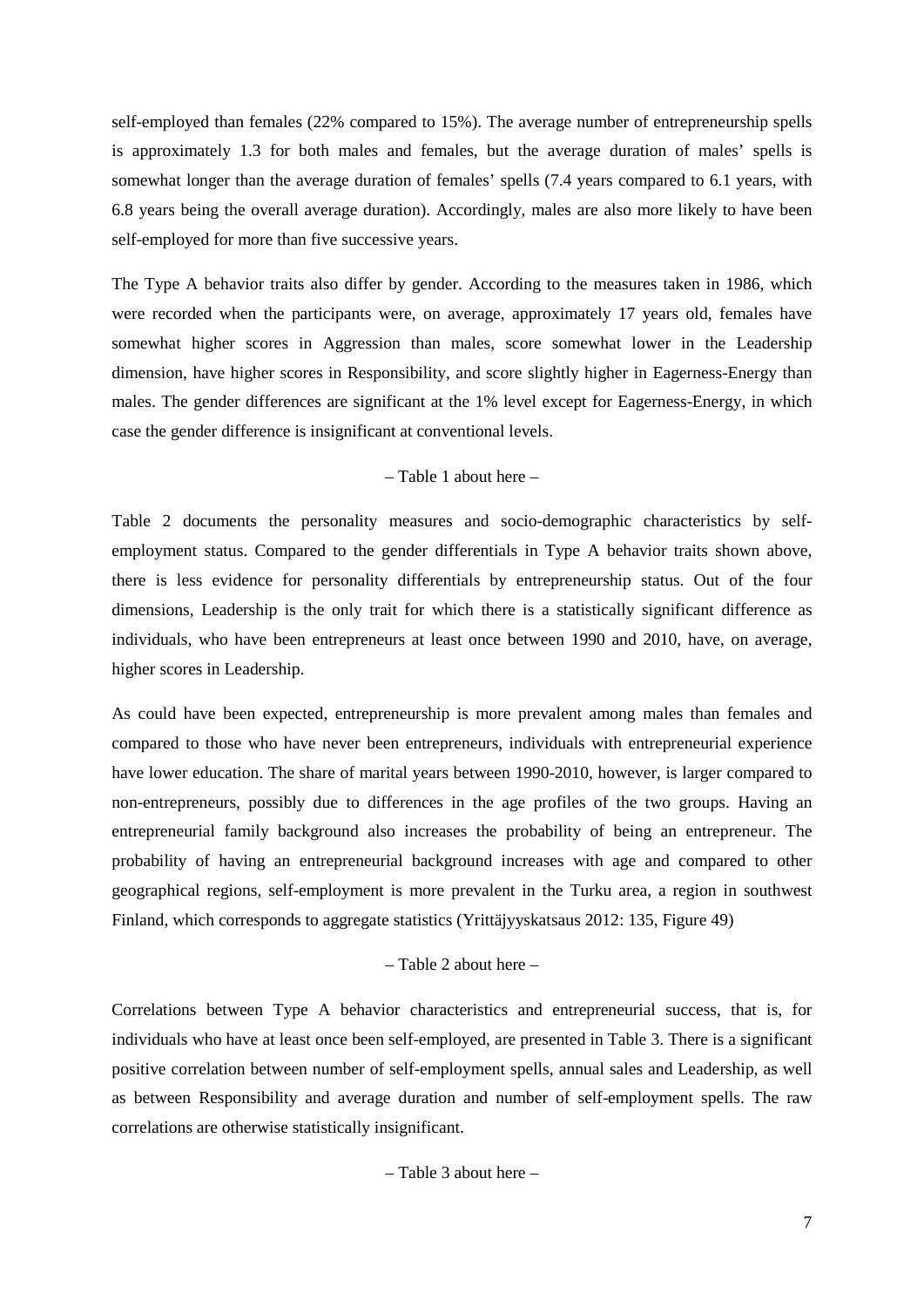self-employed than females (22% compared to 15%). The average number of entrepreneurship spells is approximately 1.3 for both males and females, but the average duration of males' spells is somewhat longer than the average duration of females' spells (7.4 years compared to 6.1 years, with 6.8 years being the overall average duration). Accordingly, males are also more likely to have been self-employed for more than five successive years.

The Type A behavior traits also differ by gender. According to the measures taken in 1986, which were recorded when the participants were, on average, approximately 17 years old, females have somewhat higher scores in Aggression than males, score somewhat lower in the Leadership dimension, have higher scores in Responsibility, and score slightly higher in Eagerness-Energy than males. The gender differences are significant at the 1% level except for Eagerness-Energy, in which case the gender difference is insignificant at conventional levels.

#### – Table 1 about here –

Table 2 documents the personality measures and socio-demographic characteristics by selfemployment status. Compared to the gender differentials in Type A behavior traits shown above, there is less evidence for personality differentials by entrepreneurship status. Out of the four dimensions, Leadership is the only trait for which there is a statistically significant difference as individuals, who have been entrepreneurs at least once between 1990 and 2010, have, on average, higher scores in Leadership.

As could have been expected, entrepreneurship is more prevalent among males than females and compared to those who have never been entrepreneurs, individuals with entrepreneurial experience have lower education. The share of marital years between 1990-2010, however, is larger compared to non-entrepreneurs, possibly due to differences in the age profiles of the two groups. Having an entrepreneurial family background also increases the probability of being an entrepreneur. The probability of having an entrepreneurial background increases with age and compared to other geographical regions, self-employment is more prevalent in the Turku area, a region in southwest Finland, which corresponds to aggregate statistics (Yrittäjyyskatsaus 2012: 135, Figure 49)

#### – Table 2 about here –

Correlations between Type A behavior characteristics and entrepreneurial success, that is, for individuals who have at least once been self-employed, are presented in Table 3. There is a significant positive correlation between number of self-employment spells, annual sales and Leadership, as well as between Responsibility and average duration and number of self-employment spells. The raw correlations are otherwise statistically insignificant.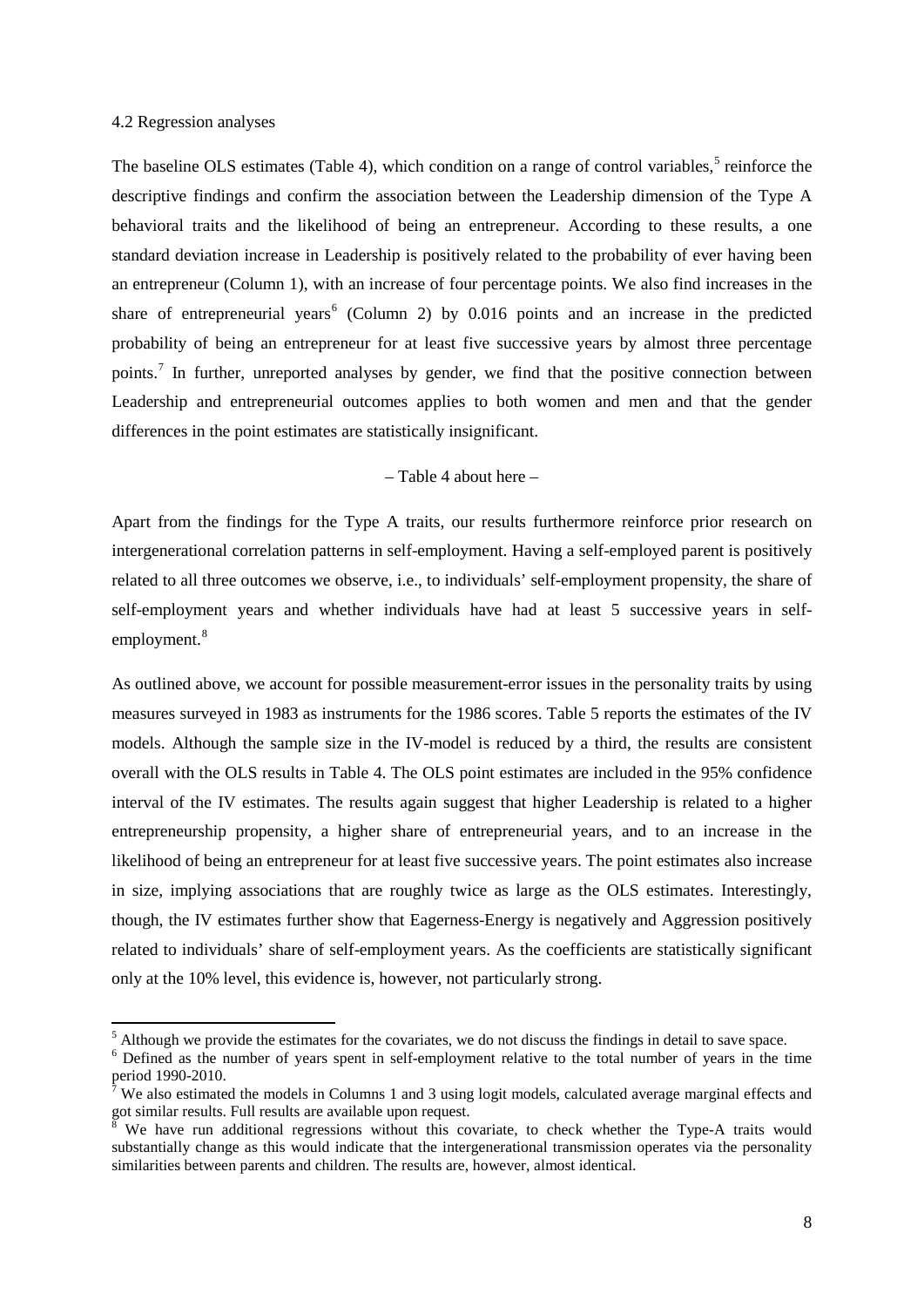#### 4.2 Regression analyses

The baseline OLS estimates (Table 4), which condition on a range of control variables,  $5$  reinforce the descriptive findings and confirm the association between the Leadership dimension of the Type A behavioral traits and the likelihood of being an entrepreneur. According to these results, a one standard deviation increase in Leadership is positively related to the probability of ever having been an entrepreneur (Column 1), with an increase of four percentage points. We also find increases in the share of entrepreneurial years<sup>[6](#page-10-1)</sup> (Column 2) by 0.016 points and an increase in the predicted probability of being an entrepreneur for at least five successive years by almost three percentage points.<sup>[7](#page-10-2)</sup> In further, unreported analyses by gender, we find that the positive connection between Leadership and entrepreneurial outcomes applies to both women and men and that the gender differences in the point estimates are statistically insignificant.

#### – Table 4 about here –

Apart from the findings for the Type A traits, our results furthermore reinforce prior research on intergenerational correlation patterns in self-employment. Having a self-employed parent is positively related to all three outcomes we observe, i.e., to individuals' self-employment propensity, the share of self-employment years and whether individuals have had at least 5 successive years in self-employment.<sup>[8](#page-10-3)</sup>

As outlined above, we account for possible measurement-error issues in the personality traits by using measures surveyed in 1983 as instruments for the 1986 scores. Table 5 reports the estimates of the IV models. Although the sample size in the IV-model is reduced by a third, the results are consistent overall with the OLS results in Table 4. The OLS point estimates are included in the 95% confidence interval of the IV estimates. The results again suggest that higher Leadership is related to a higher entrepreneurship propensity, a higher share of entrepreneurial years, and to an increase in the likelihood of being an entrepreneur for at least five successive years. The point estimates also increase in size, implying associations that are roughly twice as large as the OLS estimates. Interestingly, though, the IV estimates further show that Eagerness-Energy is negatively and Aggression positively related to individuals' share of self-employment years. As the coefficients are statistically significant only at the 10% level, this evidence is, however, not particularly strong.

<span id="page-10-0"></span><sup>&</sup>lt;sup>5</sup> Although we provide the estimates for the covariates, we do not discuss the findings in detail to save space.

<span id="page-10-1"></span><sup>&</sup>lt;sup>6</sup> Defined as the number of years spent in self-employment relative to the total number of years in the time period 1990-2010.

<span id="page-10-2"></span> $\hat{\ }$  We also estimated the models in Columns 1 and 3 using logit models, calculated average marginal effects and got similar results. Full results are available upon request.

<span id="page-10-3"></span>We have run additional regressions without this covariate, to check whether the Type-A traits would substantially change as this would indicate that the intergenerational transmission operates via the personality similarities between parents and children. The results are, however, almost identical.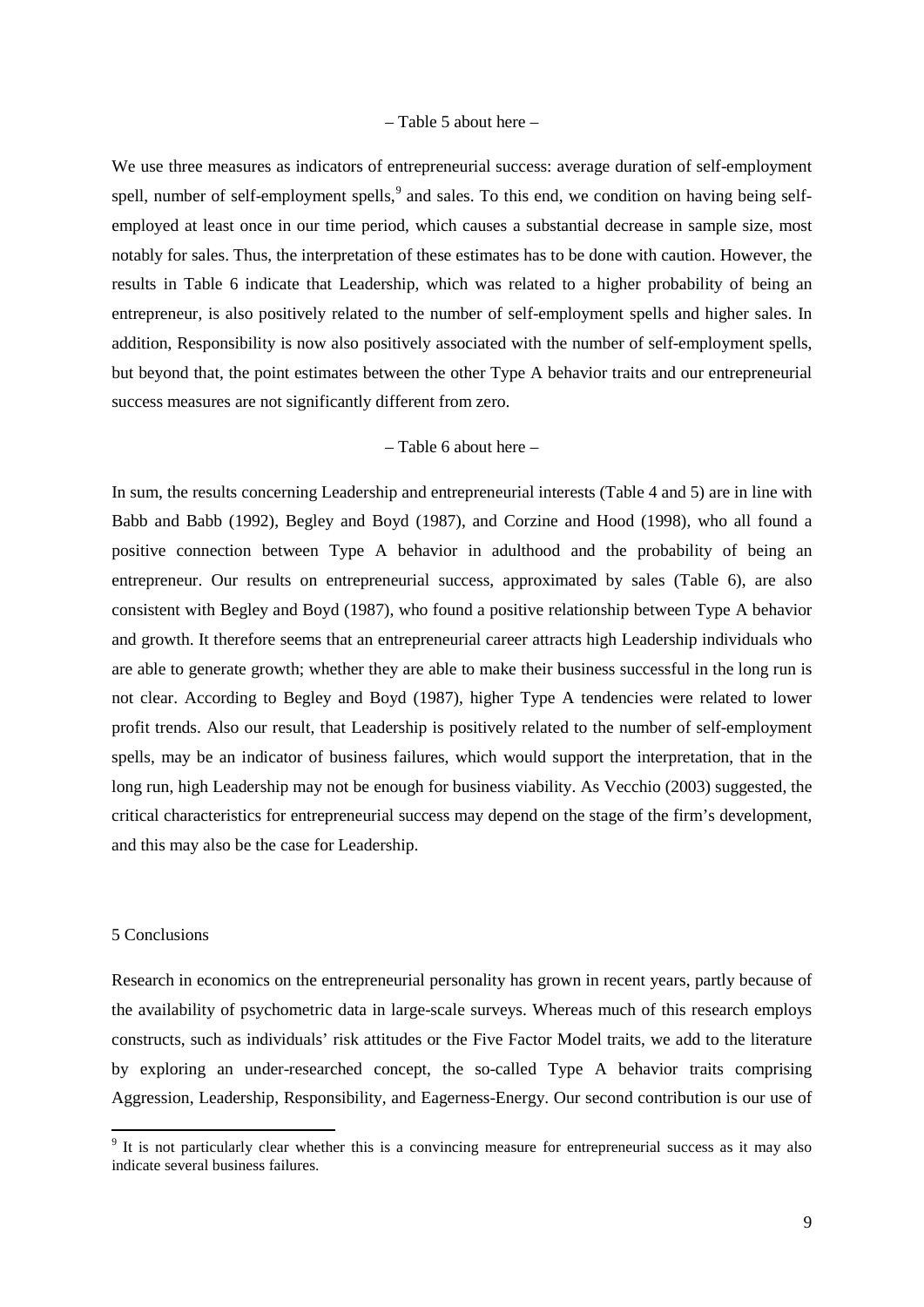#### – Table 5 about here –

We use three measures as indicators of entrepreneurial success: average duration of self-employment spell, number of self-employment spells,<sup>[9](#page-11-0)</sup> and sales. To this end, we condition on having being selfemployed at least once in our time period, which causes a substantial decrease in sample size, most notably for sales. Thus, the interpretation of these estimates has to be done with caution. However, the results in Table 6 indicate that Leadership, which was related to a higher probability of being an entrepreneur, is also positively related to the number of self-employment spells and higher sales. In addition, Responsibility is now also positively associated with the number of self-employment spells, but beyond that, the point estimates between the other Type A behavior traits and our entrepreneurial success measures are not significantly different from zero.

#### – Table 6 about here –

In sum, the results concerning Leadership and entrepreneurial interests (Table 4 and 5) are in line with Babb and Babb (1992), Begley and Boyd (1987), and Corzine and Hood (1998), who all found a positive connection between Type A behavior in adulthood and the probability of being an entrepreneur. Our results on entrepreneurial success, approximated by sales (Table 6), are also consistent with Begley and Boyd (1987), who found a positive relationship between Type A behavior and growth. It therefore seems that an entrepreneurial career attracts high Leadership individuals who are able to generate growth; whether they are able to make their business successful in the long run is not clear. According to Begley and Boyd (1987), higher Type A tendencies were related to lower profit trends. Also our result, that Leadership is positively related to the number of self-employment spells, may be an indicator of business failures, which would support the interpretation, that in the long run, high Leadership may not be enough for business viability. As Vecchio (2003) suggested, the critical characteristics for entrepreneurial success may depend on the stage of the firm's development, and this may also be the case for Leadership.

#### 5 Conclusions

Research in economics on the entrepreneurial personality has grown in recent years, partly because of the availability of psychometric data in large-scale surveys. Whereas much of this research employs constructs, such as individuals' risk attitudes or the Five Factor Model traits, we add to the literature by exploring an under-researched concept, the so-called Type A behavior traits comprising Aggression, Leadership, Responsibility, and Eagerness-Energy. Our second contribution is our use of

<span id="page-11-0"></span><sup>&</sup>lt;sup>9</sup> It is not particularly clear whether this is a convincing measure for entrepreneurial success as it may also indicate several business failures.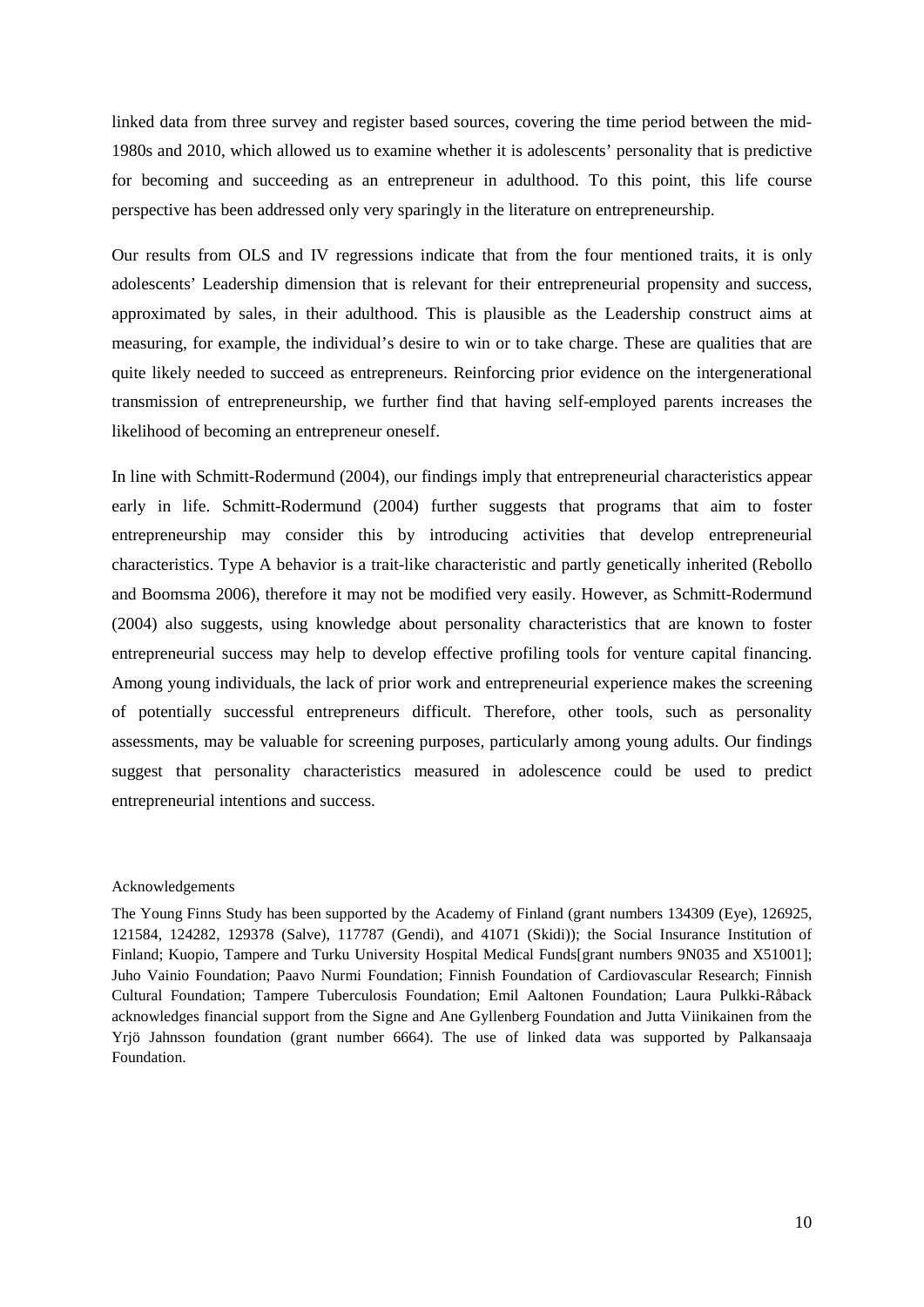linked data from three survey and register based sources, covering the time period between the mid-1980s and 2010, which allowed us to examine whether it is adolescents' personality that is predictive for becoming and succeeding as an entrepreneur in adulthood. To this point, this life course perspective has been addressed only very sparingly in the literature on entrepreneurship.

Our results from OLS and IV regressions indicate that from the four mentioned traits, it is only adolescents' Leadership dimension that is relevant for their entrepreneurial propensity and success, approximated by sales, in their adulthood. This is plausible as the Leadership construct aims at measuring, for example, the individual's desire to win or to take charge. These are qualities that are quite likely needed to succeed as entrepreneurs. Reinforcing prior evidence on the intergenerational transmission of entrepreneurship, we further find that having self-employed parents increases the likelihood of becoming an entrepreneur oneself.

In line with Schmitt-Rodermund (2004), our findings imply that entrepreneurial characteristics appear early in life. Schmitt-Rodermund (2004) further suggests that programs that aim to foster entrepreneurship may consider this by introducing activities that develop entrepreneurial characteristics. Type A behavior is a trait-like characteristic and partly genetically inherited (Rebollo and Boomsma 2006), therefore it may not be modified very easily. However, as Schmitt-Rodermund (2004) also suggests, using knowledge about personality characteristics that are known to foster entrepreneurial success may help to develop effective profiling tools for venture capital financing. Among young individuals, the lack of prior work and entrepreneurial experience makes the screening of potentially successful entrepreneurs difficult. Therefore, other tools, such as personality assessments, may be valuable for screening purposes, particularly among young adults. Our findings suggest that personality characteristics measured in adolescence could be used to predict entrepreneurial intentions and success.

#### Acknowledgements

The Young Finns Study has been supported by the Academy of Finland (grant numbers 134309 (Eye), 126925, 121584, 124282, 129378 (Salve), 117787 (Gendi), and 41071 (Skidi)); the Social Insurance Institution of Finland; Kuopio, Tampere and Turku University Hospital Medical Funds[grant numbers 9N035 and X51001]; Juho Vainio Foundation; Paavo Nurmi Foundation; Finnish Foundation of Cardiovascular Research; Finnish Cultural Foundation; Tampere Tuberculosis Foundation; Emil Aaltonen Foundation; Laura Pulkki-Råback acknowledges financial support from the Signe and Ane Gyllenberg Foundation and Jutta Viinikainen from the Yrjö Jahnsson foundation (grant number 6664). The use of linked data was supported by Palkansaaja Foundation.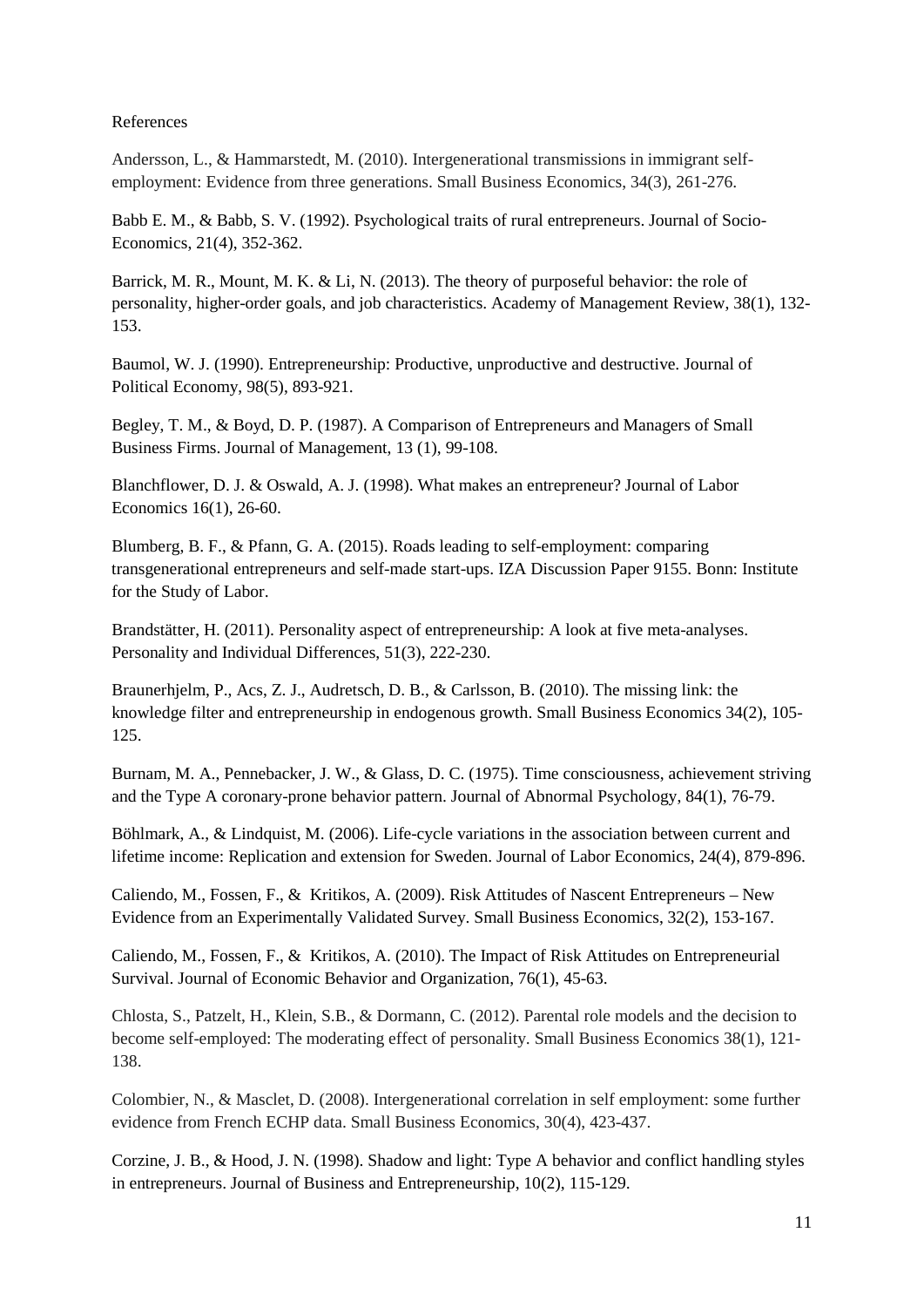#### References

Andersson, L., & Hammarstedt, M. (2010). Intergenerational transmissions in immigrant selfemployment: Evidence from three generations. Small Business Economics, 34(3), 261-276.

Babb E. M., & Babb, S. V. (1992). Psychological traits of rural entrepreneurs. Journal of Socio-Economics, 21(4), 352-362.

Barrick, M. R., Mount, M. K. & Li, N. (2013). The theory of purposeful behavior: the role of personality, higher-order goals, and job characteristics. Academy of Management Review, 38(1), 132- 153.

Baumol, W. J. (1990). Entrepreneurship: Productive, unproductive and destructive. Journal of Political Economy, 98(5), 893-921.

Begley, T. M., & Boyd, D. P. (1987). A Comparison of Entrepreneurs and Managers of Small Business Firms. Journal of Management, 13 (1), 99-108.

Blanchflower, D. J. & Oswald, A. J. (1998). What makes an entrepreneur? Journal of Labor Economics 16(1), 26-60.

Blumberg, B. F., & Pfann, G. A. (2015). Roads leading to self-employment: comparing transgenerational entrepreneurs and self-made start-ups. IZA Discussion Paper 9155. Bonn: Institute for the Study of Labor.

Brandstätter, H. (2011). Personality aspect of entrepreneurship: A look at five meta-analyses. Personality and Individual Differences, 51(3), 222-230.

Braunerhjelm, P., Acs, Z. J., Audretsch, D. B., & Carlsson, B. (2010). The missing link: the knowledge filter and entrepreneurship in endogenous growth. Small Business Economics 34(2), 105- 125.

Burnam, M. A., Pennebacker, J. W., & Glass, D. C. (1975). Time consciousness, achievement striving and the Type A coronary-prone behavior pattern. Journal of Abnormal Psychology, 84(1), 76-79.

Böhlmark, A., & Lindquist, M. (2006). Life-cycle variations in the association between current and lifetime income: Replication and extension for Sweden. Journal of Labor Economics, 24(4), 879-896.

Caliendo, M., Fossen, F., & Kritikos, A. (2009). Risk Attitudes of Nascent Entrepreneurs – New Evidence from an Experimentally Validated Survey. Small Business Economics, 32(2), 153-167.

Caliendo, M., Fossen, F., & Kritikos, A. (2010). The Impact of Risk Attitudes on Entrepreneurial Survival. Journal of Economic Behavior and Organization, 76(1), 45-63.

Chlosta, S., Patzelt, H., Klein, S.B., & Dormann, C. (2012). Parental role models and the decision to become self-employed: The moderating effect of personality. Small Business Economics 38(1), 121- 138.

Colombier, N., & Masclet, D. (2008). Intergenerational correlation in self employment: some further evidence from French ECHP data. Small Business Economics, 30(4), 423-437.

Corzine, J. B., & Hood, J. N. (1998). Shadow and light: Type A behavior and conflict handling styles in entrepreneurs. Journal of Business and Entrepreneurship, 10(2), 115-129.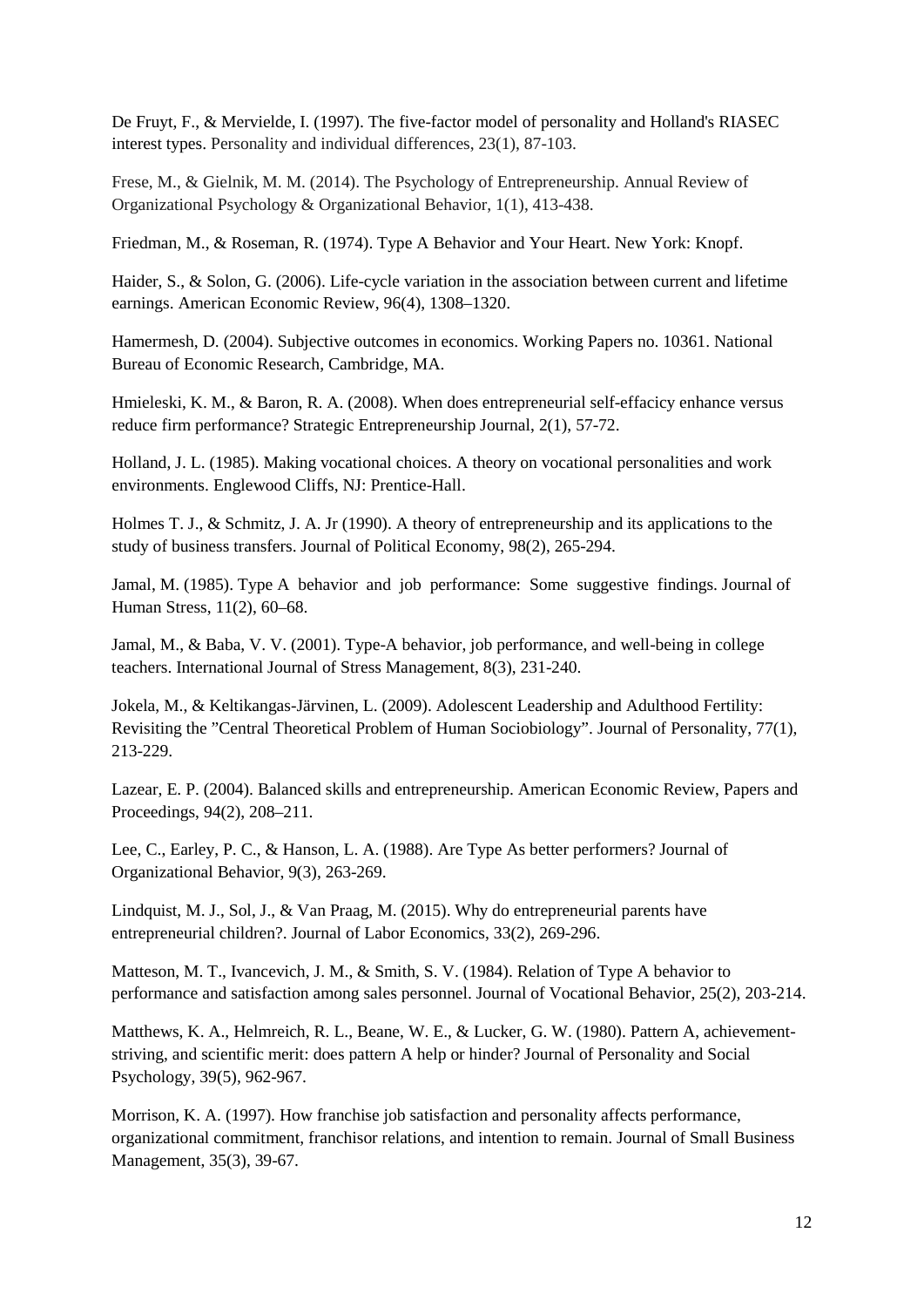De Fruyt, F., & Mervielde, I. (1997). The five-factor model of personality and Holland's RIASEC interest types. Personality and individual differences, 23(1), 87-103.

Frese, M., & Gielnik, M. M. (2014). The Psychology of Entrepreneurship. Annual Review of Organizational Psychology & Organizational Behavior, 1(1), 413-438.

Friedman, M., & Roseman, R. (1974). Type A Behavior and Your Heart. New York: Knopf.

Haider, S., & Solon, G. (2006). Life-cycle variation in the association between current and lifetime earnings. American Economic Review, 96(4), 1308–1320.

Hamermesh, D. (2004). Subjective outcomes in economics. Working Papers no. 10361. National Bureau of Economic Research, Cambridge, MA.

Hmieleski, K. M., & Baron, R. A. (2008). When does entrepreneurial self-effacicy enhance versus reduce firm performance? Strategic Entrepreneurship Journal, 2(1), 57-72.

Holland, J. L. (1985). Making vocational choices. A theory on vocational personalities and work environments. Englewood Cliffs, NJ: Prentice-Hall.

Holmes T. J., & Schmitz, J. A. Jr (1990). A theory of entrepreneurship and its applications to the study of business transfers. Journal of Political Economy, 98(2), 265-294.

Jamal, M. (1985). Type A behavior and job performance: Some suggestive findings. Journal of Human Stress, 11(2), 60–68.

Jamal, M., & Baba, V. V. (2001). Type-A behavior, job performance, and well-being in college teachers. International Journal of Stress Management, 8(3), 231-240.

Jokela, M., & Keltikangas-Järvinen, L. (2009). Adolescent Leadership and Adulthood Fertility: Revisiting the "Central Theoretical Problem of Human Sociobiology". Journal of Personality, 77(1), 213-229.

Lazear, E. P. (2004). Balanced skills and entrepreneurship. American Economic Review, Papers and Proceedings, 94(2), 208–211.

Lee, C., Earley, P. C., & Hanson, L. A. (1988). Are Type As better performers? Journal of Organizational Behavior, 9(3), 263-269.

Lindquist, M. J., Sol, J., & Van Praag, M. (2015). Why do entrepreneurial parents have entrepreneurial children?. Journal of Labor Economics, 33(2), 269-296.

Matteson, M. T., Ivancevich, J. M., & Smith, S. V. (1984). Relation of Type A behavior to performance and satisfaction among sales personnel. Journal of Vocational Behavior, 25(2), 203-214.

Matthews, K. A., Helmreich, R. L., Beane, W. E., & Lucker, G. W. (1980). Pattern A, achievementstriving, and scientific merit: does pattern A help or hinder? Journal of Personality and Social Psychology, 39(5), 962-967.

Morrison, K. A. (1997). How franchise job satisfaction and personality affects performance, organizational commitment, franchisor relations, and intention to remain. Journal of Small Business Management, 35(3), 39-67.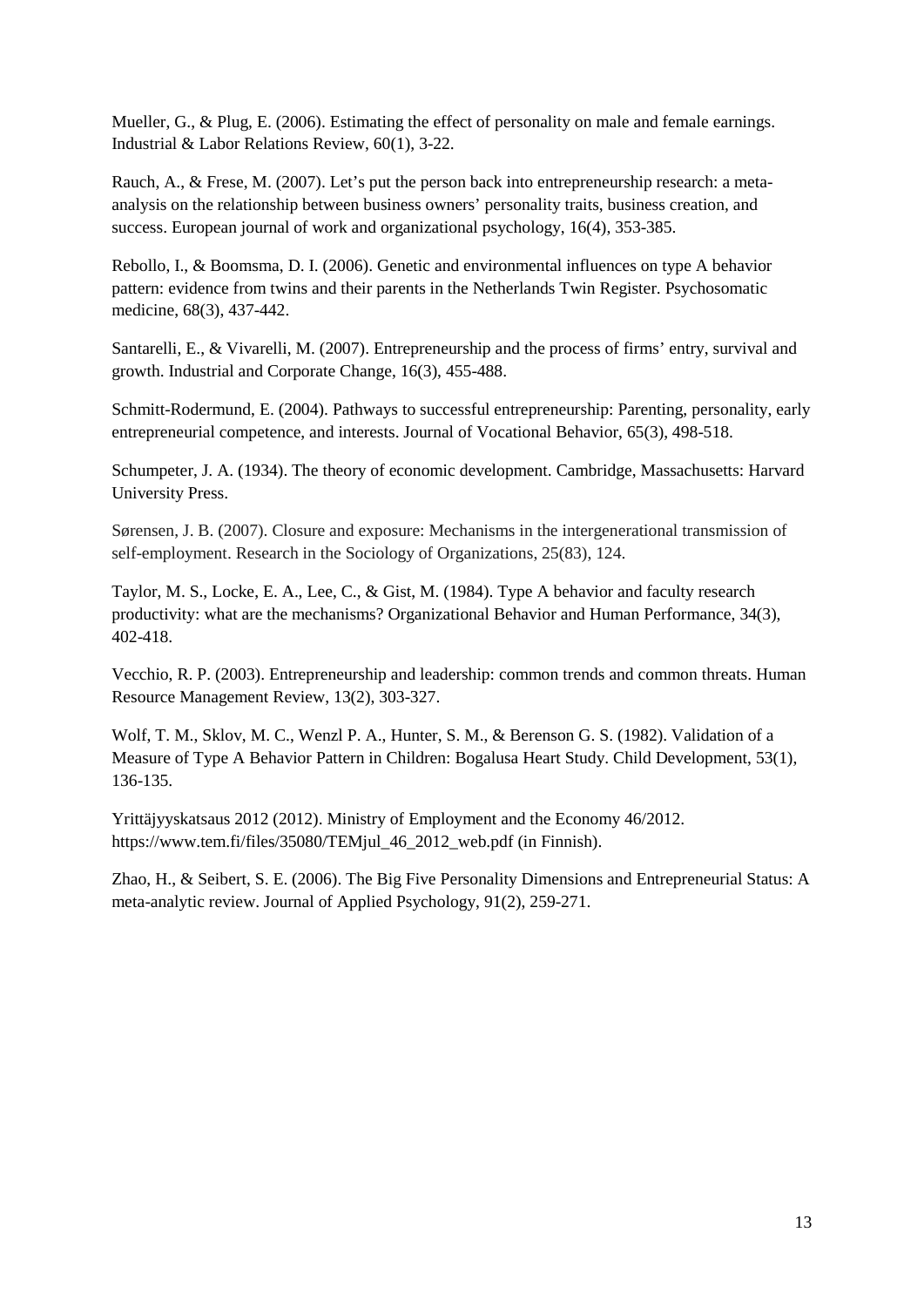Mueller, G., & Plug, E. (2006). Estimating the effect of personality on male and female earnings. Industrial & Labor Relations Review, 60(1), 3-22.

Rauch, A., & Frese, M. (2007). Let's put the person back into entrepreneurship research: a metaanalysis on the relationship between business owners' personality traits, business creation, and success. European journal of work and organizational psychology, 16(4), 353-385.

Rebollo, I., & Boomsma, D. I. (2006). Genetic and environmental influences on type A behavior pattern: evidence from twins and their parents in the Netherlands Twin Register. Psychosomatic medicine, 68(3), 437-442.

Santarelli, E., & Vivarelli, M. (2007). Entrepreneurship and the process of firms' entry, survival and growth. Industrial and Corporate Change, 16(3), 455-488.

Schmitt-Rodermund, E. (2004). Pathways to successful entrepreneurship: Parenting, personality, early entrepreneurial competence, and interests. Journal of Vocational Behavior, 65(3), 498-518.

Schumpeter, J. A. (1934). The theory of economic development. Cambridge, Massachusetts: Harvard University Press.

Sørensen, J. B. (2007). Closure and exposure: Mechanisms in the intergenerational transmission of self-employment. Research in the Sociology of Organizations, 25(83), 124.

Taylor, M. S., Locke, E. A., Lee, C., & Gist, M. (1984). Type A behavior and faculty research productivity: what are the mechanisms? Organizational Behavior and Human Performance, 34(3), 402-418.

Vecchio, R. P. (2003). Entrepreneurship and leadership: common trends and common threats. Human Resource Management Review, 13(2), 303-327.

Wolf, T. M., Sklov, M. C., Wenzl P. A., Hunter, S. M., & Berenson G. S. (1982). Validation of a Measure of Type A Behavior Pattern in Children: Bogalusa Heart Study. Child Development, 53(1), 136-135.

Yrittäjyyskatsaus 2012 (2012). Ministry of Employment and the Economy 46/2012. https://www.tem.fi/files/35080/TEMjul\_46\_2012\_web.pdf (in Finnish).

Zhao, H., & Seibert, S. E. (2006). The Big Five Personality Dimensions and Entrepreneurial Status: A meta-analytic review. Journal of Applied Psychology, 91(2), 259-271.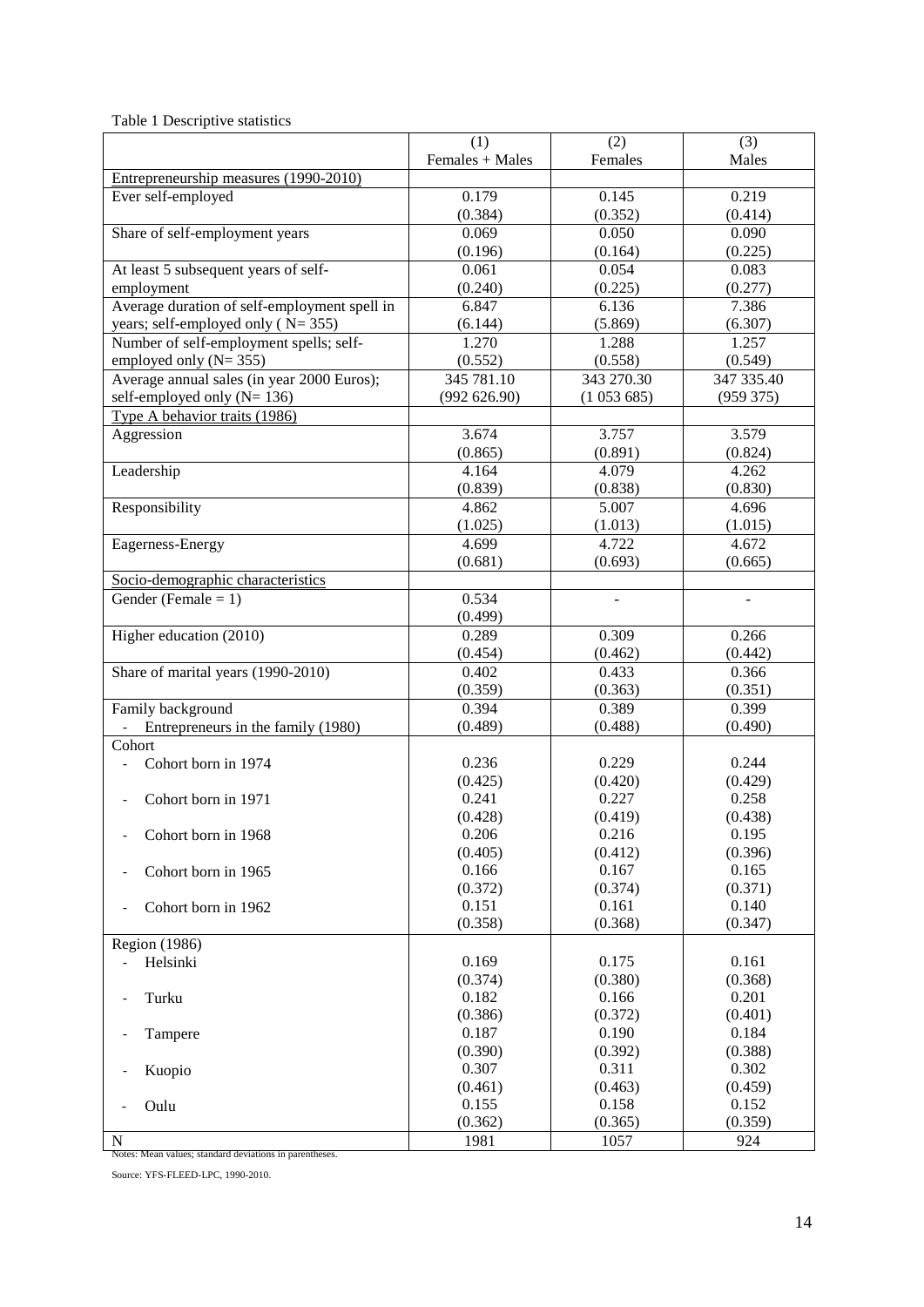| Table 1 Descriptive statistics |
|--------------------------------|
|--------------------------------|

|                                                         | (1)              | (2)              | (3)              |
|---------------------------------------------------------|------------------|------------------|------------------|
|                                                         | Females + Males  | Females          | Males            |
| Entrepreneurship measures (1990-2010)                   |                  |                  |                  |
| Ever self-employed                                      | 0.179            | 0.145            | 0.219            |
|                                                         | (0.384)          | (0.352)          | (0.414)          |
| Share of self-employment years                          | 0.069            | 0.050            | 0.090            |
|                                                         | (0.196)          | (0.164)          | (0.225)          |
| At least 5 subsequent years of self-                    | 0.061            | 0.054            | 0.083            |
| employment                                              | (0.240)          | (0.225)          | (0.277)          |
| Average duration of self-employment spell in            | 6.847            | 6.136            | 7.386            |
| years; self-employed only ( $N = 355$ )                 | (6.144)          | (5.869)          | (6.307)          |
| Number of self-employment spells; self-                 | 1.270            | 1.288            | 1.257            |
| employed only $(N=355)$                                 | (0.552)          | (0.558)          | (0.549)          |
| Average annual sales (in year 2000 Euros);              | 345 781.10       | 343 270.30       | 347 335.40       |
| self-employed only $(N=136)$                            | (992626.90)      | (1053685)        | (959 375)        |
| Type A behavior traits (1986)                           |                  |                  |                  |
| Aggression                                              | 3.674            | 3.757            | 3.579            |
|                                                         | (0.865)          | (0.891)          | (0.824)          |
| Leadership                                              | 4.164            | 4.079            | 4.262            |
|                                                         | (0.839)          | (0.838)          | (0.830)          |
| Responsibility                                          | 4.862            | 5.007            | 4.696            |
|                                                         | (1.025)          | (1.013)          | (1.015)          |
| Eagerness-Energy                                        | 4.699            | 4.722            | 4.672            |
|                                                         | (0.681)          | (0.693)          | (0.665)          |
| Socio-demographic characteristics                       |                  |                  |                  |
| Gender (Female = $1$ )                                  | 0.534            | $\sim$           | $\sim$           |
|                                                         | (0.499)          |                  |                  |
| Higher education (2010)                                 | 0.289            | 0.309            | 0.266            |
|                                                         | (0.454)          | (0.462)          | (0.442)          |
| Share of marital years (1990-2010)                      | 0.402            | 0.433            | 0.366            |
|                                                         | (0.359)          | (0.363)          | (0.351)          |
| Family background                                       | 0.394            | 0.389            | 0.399            |
| Entrepreneurs in the family (1980)                      | (0.489)          | (0.488)          | (0.490)          |
| Cohort                                                  |                  |                  |                  |
| Cohort born in 1974                                     | 0.236            | 0.229            | 0.244            |
|                                                         | (0.425)          | (0.420)          | (0.429)          |
| Cohort born in 1971                                     | 0.241            | 0.227            | 0.258            |
|                                                         | (0.428)          | (0.419)          | (0.438)          |
| Cohort born in 1968                                     | 0.206            | 0.216            | 0.195            |
|                                                         | (0.405)<br>0.166 | (0.412)<br>0.167 | (0.396)<br>0.165 |
| Cohort born in 1965                                     | (0.372)          | (0.374)          | (0.371)          |
| Cohort born in 1962                                     | 0.151            | 0.161            | 0.140            |
|                                                         | (0.358)          | (0.368)          | (0.347)          |
| Region (1986)                                           |                  |                  |                  |
| Helsinki                                                | 0.169            | 0.175            | 0.161            |
|                                                         | (0.374)          | (0.380)          | (0.368)          |
| Turku<br>$\qquad \qquad \blacksquare$                   | 0.182            | 0.166            | 0.201            |
|                                                         | (0.386)          | (0.372)          | (0.401)          |
| Tampere                                                 | 0.187            | 0.190            | 0.184            |
|                                                         | (0.390)          | (0.392)          | (0.388)          |
| Kuopio                                                  | 0.307            | 0.311            | 0.302            |
|                                                         | (0.461)          | (0.463)          | (0.459)          |
| Oulu                                                    | 0.155            | 0.158            | 0.152            |
|                                                         | (0.362)          | (0.365)          | (0.359)          |
| N                                                       | 1981             | 1057             | 924              |
| Notes: Mean values; standard deviations in parentheses. |                  |                  |                  |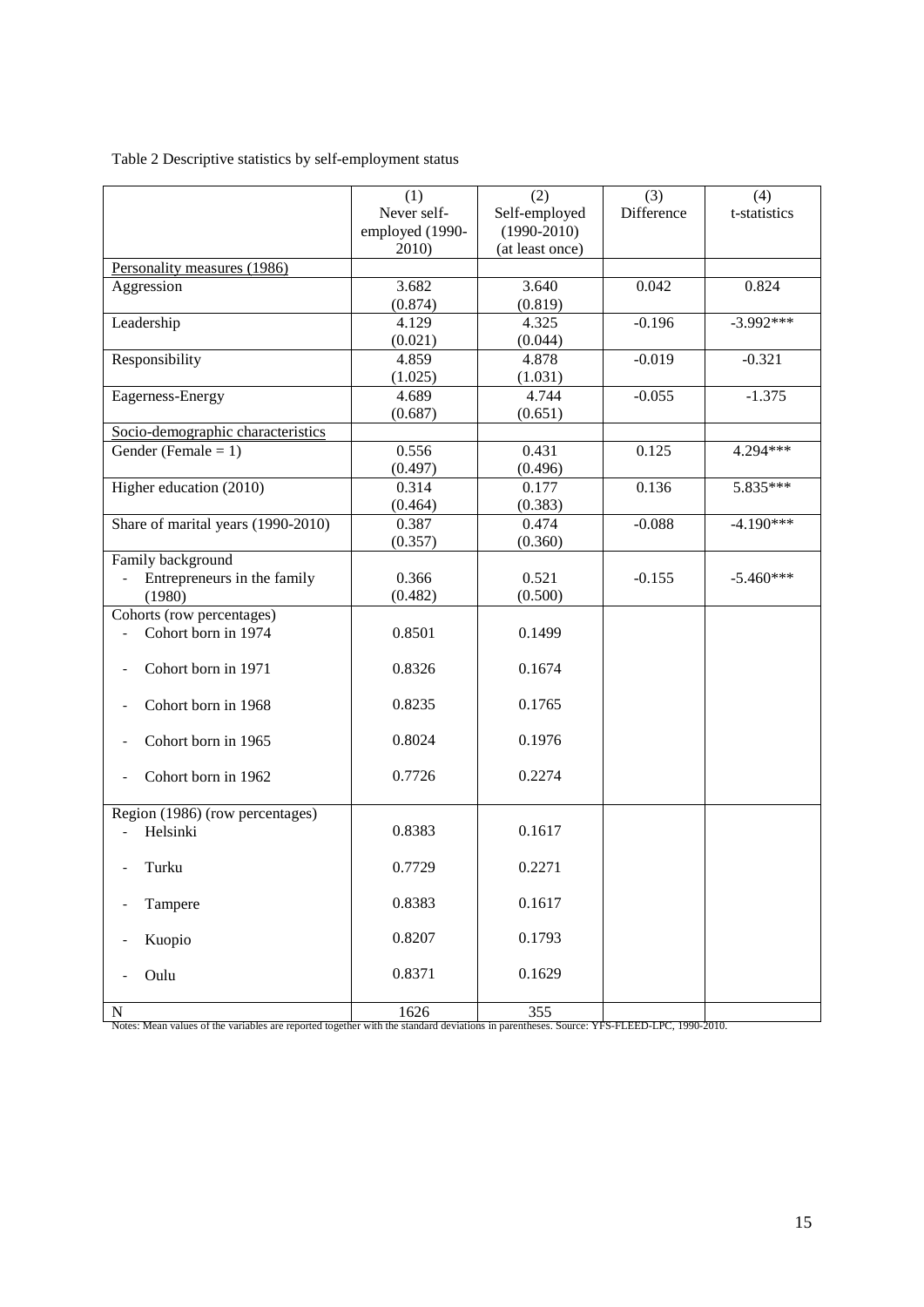### Table 2 Descriptive statistics by self-employment status

|                                    | (1)             | (2)             | (3)        | (4)          |
|------------------------------------|-----------------|-----------------|------------|--------------|
|                                    | Never self-     | Self-employed   | Difference | t-statistics |
|                                    | employed (1990- | $(1990 - 2010)$ |            |              |
|                                    | 2010)           | (at least once) |            |              |
| Personality measures (1986)        |                 |                 |            |              |
| Aggression                         | 3.682           | 3.640           | 0.042      | 0.824        |
|                                    | (0.874)         | (0.819)         |            |              |
| Leadership                         | 4.129           | 4.325           | $-0.196$   | $-3.992***$  |
|                                    | (0.021)         | (0.044)         |            |              |
| Responsibility                     | 4.859           | 4.878           | $-0.019$   | $-0.321$     |
|                                    | (1.025)         | (1.031)         |            |              |
| Eagerness-Energy                   | 4.689           | 4.744           | $-0.055$   | $-1.375$     |
|                                    | (0.687)         | (0.651)         |            |              |
| Socio-demographic characteristics  |                 |                 |            |              |
| Gender (Female = $1$ )             | 0.556           | 0.431           | 0.125      | $4.294***$   |
|                                    | (0.497)         | (0.496)         |            |              |
| Higher education (2010)            | 0.314           | 0.177           | 0.136      | $5.835***$   |
|                                    | (0.464)         | (0.383)         |            |              |
| Share of marital years (1990-2010) | 0.387           | 0.474           | $-0.088$   | $-4.190***$  |
|                                    | (0.357)         | (0.360)         |            |              |
| Family background                  |                 |                 |            |              |
| Entrepreneurs in the family        | 0.366           | 0.521           | $-0.155$   | $-5.460***$  |
| (1980)                             | (0.482)         | (0.500)         |            |              |
| Cohorts (row percentages)          |                 |                 |            |              |
| Cohort born in 1974                | 0.8501          | 0.1499          |            |              |
|                                    |                 |                 |            |              |
| Cohort born in 1971                | 0.8326          | 0.1674          |            |              |
|                                    |                 |                 |            |              |
| Cohort born in 1968                | 0.8235          | 0.1765          |            |              |
|                                    |                 |                 |            |              |
| Cohort born in 1965                | 0.8024          | 0.1976          |            |              |
|                                    |                 |                 |            |              |
| Cohort born in 1962                | 0.7726          | 0.2274          |            |              |
|                                    |                 |                 |            |              |
| Region (1986) (row percentages)    |                 |                 |            |              |
| Helsinki                           | 0.8383          | 0.1617          |            |              |
|                                    | 0.7729          | 0.2271          |            |              |
| Turku                              |                 |                 |            |              |
|                                    |                 |                 |            |              |
| Tampere                            | 0.8383          | 0.1617          |            |              |
|                                    | 0.8207          | 0.1793          |            |              |
| Kuopio                             |                 |                 |            |              |
| Oulu                               | 0.8371          | 0.1629          |            |              |
|                                    |                 |                 |            |              |
| N                                  | 1626            | 355             |            |              |
|                                    |                 |                 |            |              |

N<br>Notes: Mean values of the variables are reported together with the standard deviations in parentheses. Source: YFS-FLEED-LPC, 1990-2010.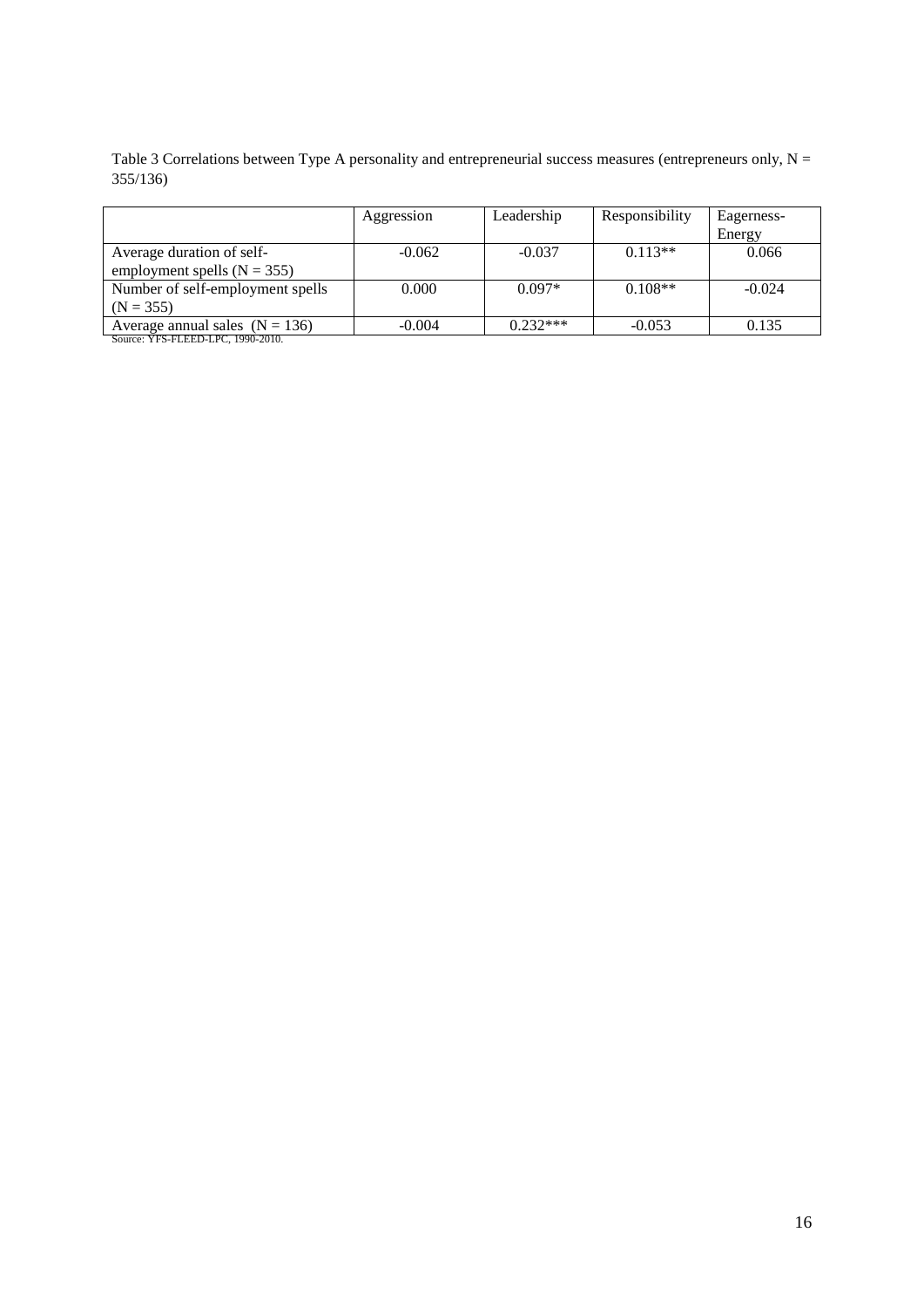Table 3 Correlations between Type A personality and entrepreneurial success measures (entrepreneurs only,  $N =$ 355/136)

|                                                                                                                                                                                                                                                                                                                                                                                  | Aggression | Leadership | Responsibility | Eagerness-<br>Energy |
|----------------------------------------------------------------------------------------------------------------------------------------------------------------------------------------------------------------------------------------------------------------------------------------------------------------------------------------------------------------------------------|------------|------------|----------------|----------------------|
| Average duration of self-<br>employment spells ( $N = 355$ )                                                                                                                                                                                                                                                                                                                     | $-0.062$   | $-0.037$   | $0.113**$      | 0.066                |
| Number of self-employment spells                                                                                                                                                                                                                                                                                                                                                 | 0.000      | $0.097*$   | $0.108**$      | $-0.024$             |
| $(N = 355)$                                                                                                                                                                                                                                                                                                                                                                      |            |            |                |                      |
| Average annual sales $(N = 136)$<br>$\cdots$ $\cdots$ $\cdots$ $\cdots$ $\cdots$ $\cdots$ $\cdots$ $\cdots$ $\cdots$ $\cdots$ $\cdots$ $\cdots$ $\cdots$ $\cdots$ $\cdots$ $\cdots$ $\cdots$ $\cdots$ $\cdots$ $\cdots$ $\cdots$ $\cdots$ $\cdots$ $\cdots$ $\cdots$ $\cdots$ $\cdots$ $\cdots$ $\cdots$ $\cdots$ $\cdots$ $\cdots$ $\cdots$ $\cdots$ $\cdots$ $\cdots$ $\cdots$ | $-0.004$   | $0.232***$ | $-0.053$       | 0.135                |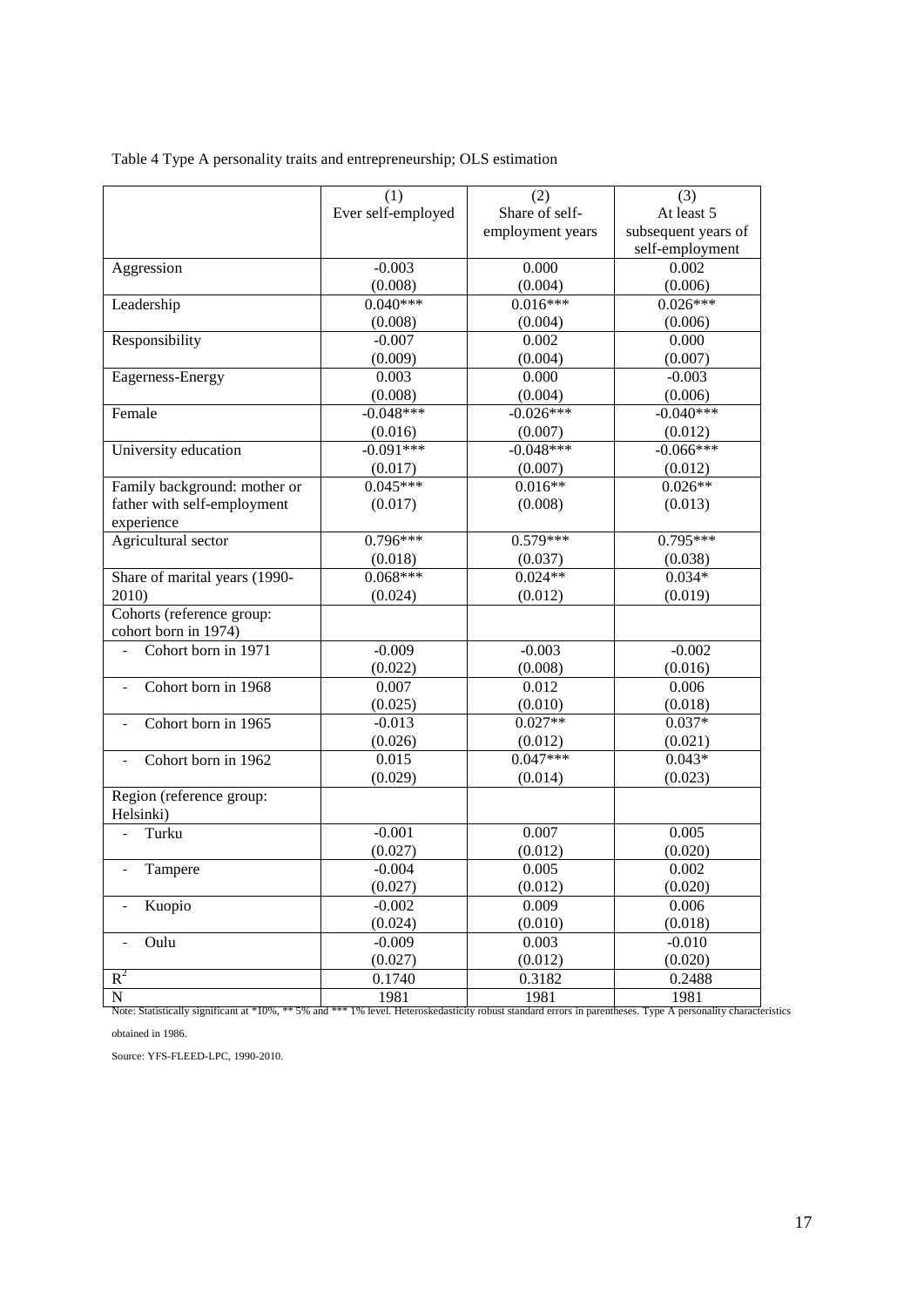| Table 4 Type A personality traits and entrepreneurship; OLS estimation |  |
|------------------------------------------------------------------------|--|
|                                                                        |  |

|                                                                                                                                                                              | (1)                 | (2)                   | (3)                 |
|------------------------------------------------------------------------------------------------------------------------------------------------------------------------------|---------------------|-----------------------|---------------------|
|                                                                                                                                                                              | Ever self-employed  | Share of self-        | At least 5          |
|                                                                                                                                                                              |                     | employment years      | subsequent years of |
|                                                                                                                                                                              |                     |                       | self-employment     |
| Aggression                                                                                                                                                                   | $-0.003$            | 0.000                 | 0.002               |
|                                                                                                                                                                              | (0.008)             | (0.004)               | (0.006)             |
| Leadership                                                                                                                                                                   | $0.040***$          | $0.016***$            | $0.026***$          |
|                                                                                                                                                                              | (0.008)             | (0.004)               | (0.006)             |
| Responsibility                                                                                                                                                               | $-0.007$            | 0.002                 | 0.000               |
|                                                                                                                                                                              | (0.009)             | (0.004)               | (0.007)             |
| Eagerness-Energy                                                                                                                                                             | 0.003               | 0.000                 | $-0.003$            |
|                                                                                                                                                                              | (0.008)             | (0.004)               | (0.006)             |
| Female                                                                                                                                                                       | $-0.048***$         | $-0.026***$           | $-0.040***$         |
|                                                                                                                                                                              | (0.016)             | (0.007)               | (0.012)             |
| University education                                                                                                                                                         | $-0.091***$         | $-0.048***$           | $-0.066***$         |
|                                                                                                                                                                              | (0.017)             | (0.007)               | (0.012)             |
| Family background: mother or                                                                                                                                                 | $0.045***$          | $0.016**$             | $0.026**$           |
| father with self-employment                                                                                                                                                  | (0.017)             | (0.008)               | (0.013)             |
| experience                                                                                                                                                                   |                     |                       |                     |
| Agricultural sector                                                                                                                                                          | $0.796***$          | $0.579***$            | $0.795***$          |
|                                                                                                                                                                              | (0.018)             | (0.037)               | (0.038)             |
| Share of marital years (1990-                                                                                                                                                | $0.068***$          | $0.024**$             | $0.034*$            |
| 2010)                                                                                                                                                                        | (0.024)             | (0.012)               | (0.019)             |
| Cohorts (reference group:                                                                                                                                                    |                     |                       |                     |
| cohort born in 1974)                                                                                                                                                         |                     |                       |                     |
| Cohort born in 1971                                                                                                                                                          | $-0.009$            | $-0.003$              | $-0.002$            |
|                                                                                                                                                                              | (0.022)             | (0.008)               | (0.016)             |
| Cohort born in 1968<br>$\overline{a}$                                                                                                                                        | 0.007               | 0.012                 | 0.006               |
|                                                                                                                                                                              | (0.025)             | (0.010)               | (0.018)             |
| Cohort born in 1965<br>$\overline{\phantom{a}}$                                                                                                                              | $-0.013$            | $0.027**$             | $0.037*$            |
|                                                                                                                                                                              | (0.026)             | (0.012)<br>$0.047***$ | (0.021)             |
| Cohort born in 1962<br>$\qquad \qquad \blacksquare$                                                                                                                          | 0.015               |                       | $0.043*$            |
|                                                                                                                                                                              | (0.029)             | (0.014)               | (0.023)             |
| Region (reference group:                                                                                                                                                     |                     |                       |                     |
| Helsinki)                                                                                                                                                                    |                     |                       |                     |
| Turku                                                                                                                                                                        | $-0.001$            | 0.007                 | 0.005               |
|                                                                                                                                                                              | (0.027)             | (0.012)               | (0.020)<br>0.002    |
| Tampere                                                                                                                                                                      | $-0.004$            | 0.005                 | (0.020)             |
|                                                                                                                                                                              | (0.027)<br>$-0.002$ | (0.012)<br>0.009      | 0.006               |
| Kuopio                                                                                                                                                                       | (0.024)             |                       | (0.018)             |
| Oulu                                                                                                                                                                         | $-0.009$            | (0.010)<br>0.003      | $-0.010$            |
| $\overline{\phantom{a}}$                                                                                                                                                     |                     |                       |                     |
| $R^2$                                                                                                                                                                        | (0.027)             | (0.012)               | (0.020)             |
|                                                                                                                                                                              | 0.1740              | 0.3182                | 0.2488<br>1981      |
| $\mathbf N$<br>Note: Statistically significant at *10%, ** 5% and *** 1% level. Heteroskedasticity robust standard errors in parentheses. Type A personality characteristics | 1981                | 1981                  |                     |

obtained in 1986.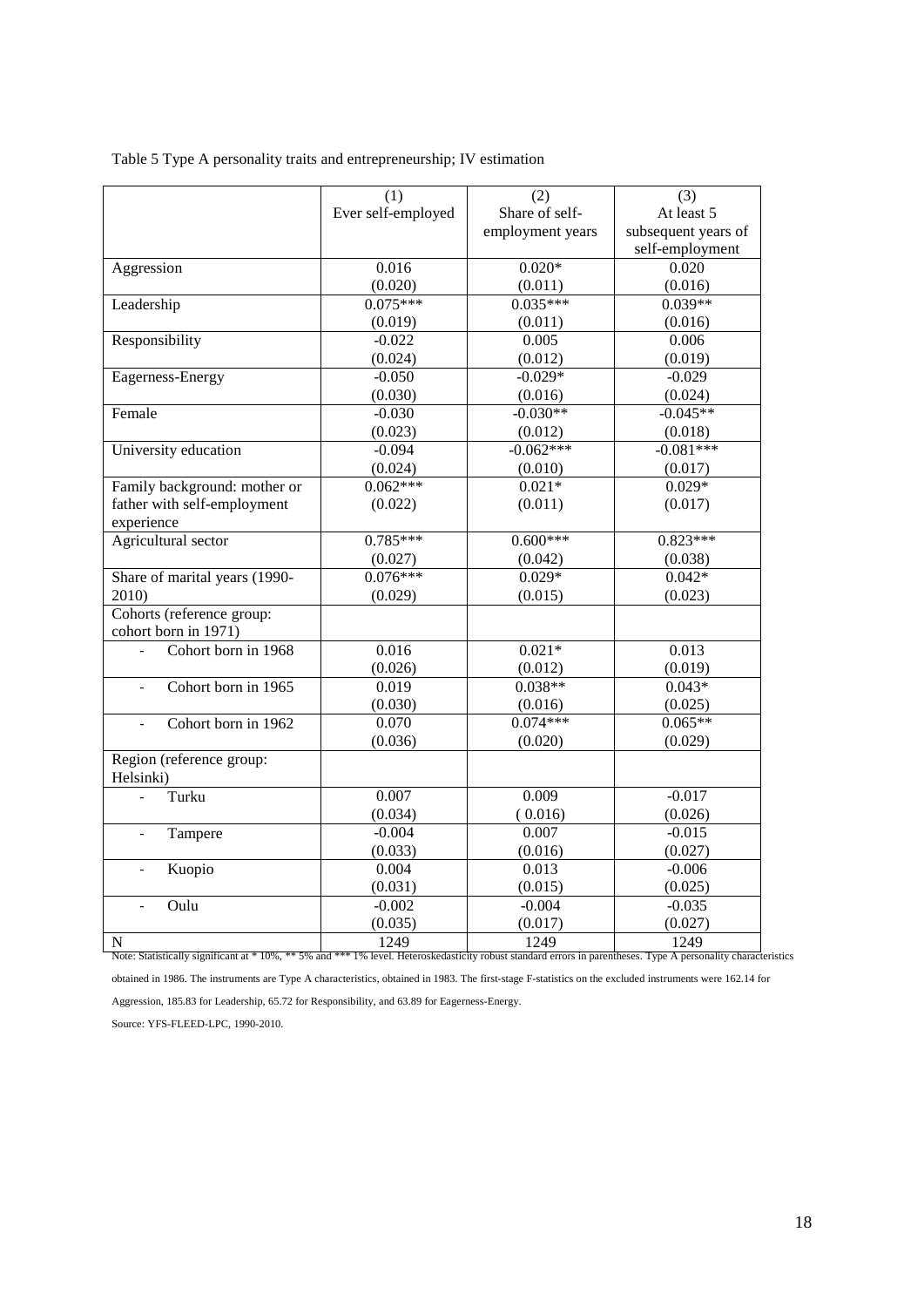|  |  |  |  |  |  |  |  | Table 5 Type A personality traits and entrepreneurship; IV estimation |
|--|--|--|--|--|--|--|--|-----------------------------------------------------------------------|
|--|--|--|--|--|--|--|--|-----------------------------------------------------------------------|

|                                                   | (1)                | (2)              | (3)                 |
|---------------------------------------------------|--------------------|------------------|---------------------|
|                                                   | Ever self-employed | Share of self-   | At least 5          |
|                                                   |                    | employment years | subsequent years of |
|                                                   |                    |                  | self-employment     |
| Aggression                                        | 0.016              | $0.020*$         | 0.020               |
|                                                   | (0.020)            | (0.011)          | (0.016)             |
| Leadership                                        | $0.075***$         | $0.035***$       | $0.039**$           |
|                                                   | (0.019)            | (0.011)          | (0.016)             |
| Responsibility                                    | $-0.022$           | 0.005            | 0.006               |
|                                                   | (0.024)            | (0.012)          | (0.019)             |
| Eagerness-Energy                                  | $-0.050$           | $-0.029*$        | $-0.029$            |
|                                                   | (0.030)            | (0.016)          | (0.024)             |
| Female                                            | $-0.030$           | $-0.030**$       | $-0.045**$          |
|                                                   | (0.023)            | (0.012)          | (0.018)             |
| University education                              | $-0.094$           | $-0.062***$      | $-0.081***$         |
|                                                   | (0.024)            | (0.010)          | (0.017)             |
| Family background: mother or                      | $0.062***$         | $0.021*$         | $0.029*$            |
| father with self-employment<br>experience         | (0.022)            | (0.011)          | (0.017)             |
| Agricultural sector                               | $0.785***$         | $0.600***$       | $0.823***$          |
|                                                   | (0.027)            | (0.042)          | (0.038)             |
| Share of marital years (1990-                     | $0.076***$         | $0.029*$         | $0.042*$            |
| 2010)                                             | (0.029)            | (0.015)          | (0.023)             |
| Cohorts (reference group:<br>cohort born in 1971) |                    |                  |                     |
| Cohort born in 1968                               | 0.016              | $0.021*$         | 0.013               |
|                                                   | (0.026)            | (0.012)          | (0.019)             |
| Cohort born in 1965<br>$\overline{a}$             | 0.019              | $0.038**$        | $0.043*$            |
|                                                   | (0.030)            | (0.016)          | (0.025)             |
| Cohort born in 1962<br>$\overline{a}$             | 0.070              | $0.074***$       | $0.065**$           |
|                                                   | (0.036)            | (0.020)          | (0.029)             |
| Region (reference group:<br>Helsinki)             |                    |                  |                     |
| Turku                                             | 0.007              | 0.009            | $-0.017$            |
|                                                   | (0.034)            | (0.016)          | (0.026)             |
| Tampere<br>$\frac{1}{2}$                          | $-0.004$           | 0.007            | $-0.015$            |
|                                                   | (0.033)            | (0.016)          | (0.027)             |
| Kuopio                                            | 0.004              | 0.013            | $-0.006$            |
|                                                   | (0.031)            | (0.015)          | (0.025)             |
| Oulu<br>$\overline{a}$                            | $-0.002$           | $-0.004$         | $-0.035$            |
|                                                   | (0.035)            | (0.017)          | (0.027)             |
| N                                                 | 1249               | 1249             | 1249                |

obtained in 1986. The instruments are Type A characteristics, obtained in 1983. The first-stage F-statistics on the excluded instruments were 162.14 for

Aggression, 185.83 for Leadership, 65.72 for Responsibility, and 63.89 for Eagerness-Energy.